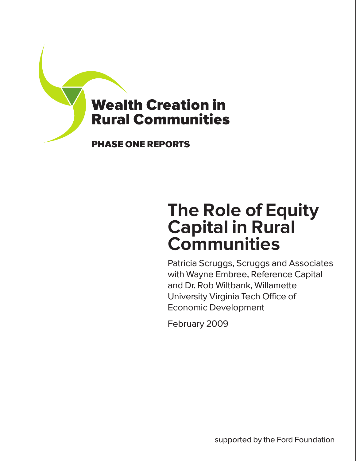

# The Role of Equity Capital in Rural **Communities**

Patricia Scruggs, Scruggs and Associates with Wayne Embree, Reference Capital and Dr. Rob Wiltbank, Willamette University Virginia Tech Office of Economic Development

February 2009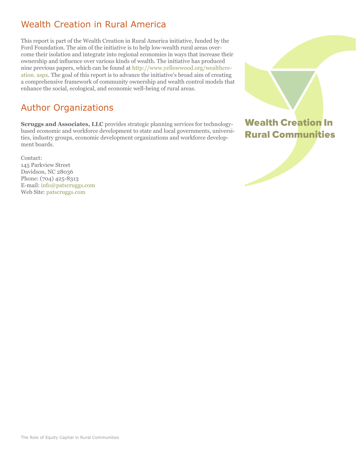# Wealth Creation in Rural America

This report is part of the Wealth Creation in Rural America initiative, funded by the Ford Foundation. The aim of the initiative is to help low-wealth rural areas overcome their isolation and integrate into regional economies in ways that increase their ownership and influence over various kinds of wealth. The initiative has produced nine previous papers, which can be found at [http://www.yellowwood.org/wealthcre](http://www.yellowwood.org/wealthcreation. aspx)[ation. aspx.](http://www.yellowwood.org/wealthcreation. aspx) The goal of this report is to advance the initiative's broad aim of creating a comprehensive framework of community ownership and wealth control models that enhance the social, ecological, and economic well-being of rural areas.

# Author Organizations

**Scruggs and Associates, LLC** provides strategic planning services for technologybased economic and workforce development to state and local governments, universities, industry groups, economic development organizations and workforce development boards.

Contact: 145 Parkview Street Davidson, NC 28036 Phone: (704) 425-8313 E-mail: info@patscruggs.com Web Site: [patscruggs.com](www.sustainablefoodlab.org)



Wealth Creation In Rural Communities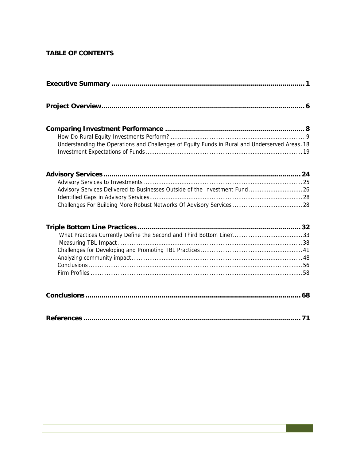## **TABLE OF CONTENTS**

| Understanding the Operations and Challenges of Equity Funds in Rural and Underserved Areas. 18 |
|------------------------------------------------------------------------------------------------|
| Advisory Services Delivered to Businesses Outside of the Investment Fund  26                   |
|                                                                                                |
|                                                                                                |
|                                                                                                |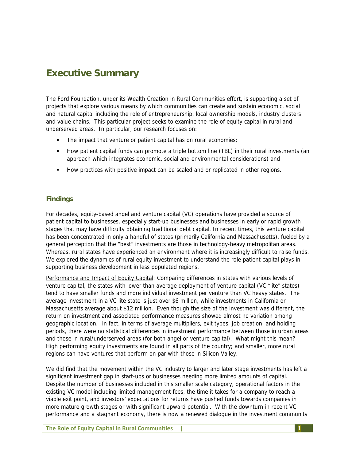# **Executive Summary**

The Ford Foundation, under its Wealth Creation in Rural Communities effort, is supporting a set of projects that explore various means by which communities can create and sustain economic, social and natural capital including the role of entrepreneurship, local ownership models, industry clusters and value chains. This particular project seeks to examine the role of equity capital in rural and underserved areas. In particular, our research focuses on:

- The impact that venture or patient capital has on rural economies;
- How patient capital funds can promote a triple bottom line (TBL) in their rural investments (an approach which integrates economic, social and environmental considerations) and
- How practices with positive impact can be scaled and or replicated in other regions.

## **Findings**

For decades, equity-based angel and venture capital (VC) operations have provided a source of patient capital to businesses, especially start-up businesses and businesses in early or rapid growth stages that may have difficulty obtaining traditional debt capital. In recent times, this venture capital has been concentrated in only a handful of states (primarily California and Massachusetts), fueled by a general perception that the "best" investments are those in technology-heavy metropolitan areas. Whereas, rural states have experienced an environment where it is increasingly difficult to raise funds. We explored the dynamics of rural equity investment to understand the role patient capital plays in supporting business development in less populated regions.

Performance and Impact of Equity Capital: Comparing differences in states with various levels of venture capital, the states with lower than average deployment of venture capital (VC "lite" states) tend to have smaller funds and more individual investment per venture than VC heavy states. The average investment in a VC lite state is just over \$6 million, while investments in California or Massachusetts average about \$12 million. Even though the size of the investment was different, the return on investment and associated performance measures showed almost no variation among geographic location. In fact, in terms of average multipliers, exit types, job creation, and holding periods, there were no statistical differences in investment performance between those in urban areas and those in rural/underserved areas (for both angel or venture capital). What might this mean? High performing equity investments are found in all parts of the country; and smaller, more rural regions can have ventures that perform on par with those in Silicon Valley.

We did find that the movement within the VC industry to larger and later stage investments has left a significant investment gap in start-ups or businesses needing more limited amounts of capital. Despite the number of businesses included in this smaller scale category, operational factors in the existing VC model including limited management fees, the time it takes for a company to reach a viable exit point, and investors' expectations for returns have pushed funds towards companies in more mature growth stages or with significant upward potential. With the downturn in recent VC performance and a stagnant economy, there is now a renewed dialogue in the investment community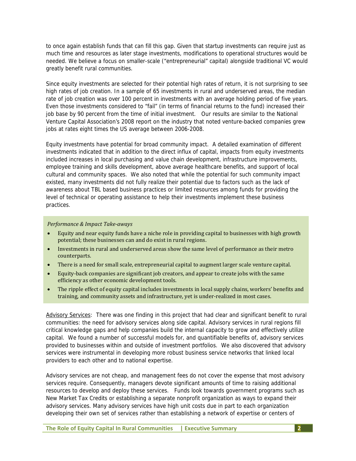to once again establish funds that can fill this gap. Given that startup investments can require just as much time and resources as later stage investments, modifications to operational structures would be needed. We believe a focus on smaller-scale ("entrepreneurial" capital) alongside traditional VC would greatly benefit rural communities.

Since equity investments are selected for their potential high rates of return, it is not surprising to see high rates of job creation. In a sample of 65 investments in rural and underserved areas, the median rate of job creation was over 100 percent in investments with an average holding period of five years. Even those investments considered to "fail" (in terms of financial returns to the fund) increased their job base by 90 percent from the time of initial investment. Our results are similar to the National Venture Capital Association's 2008 report on the industry that noted venture-backed companies grew jobs at rates eight times the US average between 2006-2008.

Equity investments have potential for broad community impact. A detailed examination of different investments indicated that in addition to the direct influx of capital, impacts from equity investments included increases in local purchasing and value chain development, infrastructure improvements, employee training and skills development, above average healthcare benefits, and support of local cultural and community spaces. We also noted that while the potential for such community impact existed, many investments did not fully realize their potential due to factors such as the lack of awareness about TBL based business practices or limited resources among funds for providing the level of technical or operating assistance to help their investments implement these business practices.

#### *Performance & Impact Take‐aways*

- Equity and near equity funds have a niche role in providing capital to businesses with high growth potential; these businesses can and do exist in rural regions.
- Investments in rural and underserved areas show the same level of performance as their metro counterparts.
- There is a need for small scale, entrepreneurial capital to augment larger scale venture capital.
- Equity‐back companies are significant job creators, and appear to create jobs with the same efficiency as other economic development tools.
- The ripple effect of equity capital includes investments in local supply chains, workers' benefits and training, and community assets and infrastructure, yet is under‐realized in most cases.

Advisory Services: There was one finding in this project that had clear and significant benefit to rural communities: the need for advisory services along side capital. Advisory services in rural regions fill critical knowledge gaps and help companies build the internal capacity to grow and effectively utilize capital. We found a number of successful models for, and quantifiable benefits of, advisory services provided to businesses within and outside of investment portfolios. We also discovered that advisory services were instrumental in developing more robust business service networks that linked local providers to each other and to national expertise.

Advisory services are not cheap, and management fees do not cover the expense that most advisory services require. Consequently, managers devote significant amounts of time to raising additional resources to develop and deploy these services. Funds look towards government programs such as New Market Tax Credits or establishing a separate nonprofit organization as ways to expand their advisory services. Many advisory services have high unit costs due in part to each organization developing their own set of services rather than establishing a network of expertise or centers of

**The Role of Equity Capital In Rural Communities | Executive Summary 2**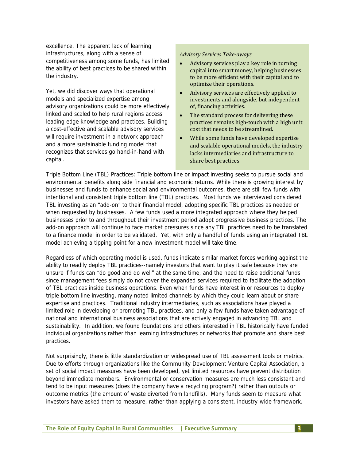excellence. The apparent lack of learning infrastructures, along with a sense of competitiveness among some funds, has limited the ability of best practices to be shared within the industry.

Yet, we did discover ways that operational models and specialized expertise among advisory organizations could be more effectively linked and scaled to help rural regions access leading edge knowledge and practices. Building a cost-effective and scalable advisory services will require investment in a network approach and a more sustainable funding model that recognizes that services go hand-in-hand with capital.

#### *Advisory Services Take‐aways*

- Advisory services play a key role in turning capital into smart money, helping businesses to be more efficient with their capital and to optimize their operations.
- Advisory services are effectively applied to investments and alongside, but independent of, financing activities.
- The standard process for delivering these practices remains high‐touch with a high unit cost that needs to be streamlined.
- While some funds have developed expertise and scalable operational models, the industry lacks intermediaries and infrastructure to share best practices.

Triple Bottom Line (TBL) Practices: Triple bottom line or impact investing seeks to pursue social and environmental benefits along side financial and economic returns. While there is growing interest by businesses and funds to enhance social and environmental outcomes, there are still few funds with intentional and consistent triple bottom line (TBL) practices. Most funds we interviewed considered TBL investing as an "add-on" to their financial model, adopting specific TBL practices as needed or when requested by businesses. A few funds used a more integrated approach where they helped businesses prior to and throughout their investment period adopt progressive business practices. The add-on approach will continue to face market pressures since any TBL practices need to be translated to a finance model in order to be validated. Yet, with only a handful of funds using an integrated TBL model achieving a tipping point for a new investment model will take time.

Regardless of which operating model is used, funds indicate similar market forces working against the ability to readily deploy TBL practices--namely investors that want to play it safe because they are unsure if funds can "do good and do well" at the same time, and the need to raise additional funds since management fees simply do not cover the expanded services required to facilitate the adoption of TBL practices inside business operations. Even when funds have interest in or resources to deploy triple bottom line investing, many noted limited channels by which they could learn about or share expertise and practices. Traditional industry intermediaries, such as associations have played a limited role in developing or promoting TBL practices, and only a few funds have taken advantage of national and international business associations that are actively engaged in advancing TBL and sustainability. In addition, we found foundations and others interested in TBL historically have funded individual organizations rather than learning infrastructures or networks that promote and share best practices.

Not surprisingly, there is little standardization or widespread use of TBL assessment tools or metrics. Due to efforts through organizations like the Community Development Venture Capital Association, a set of social impact measures have been developed, yet limited resources have prevent distribution beyond immediate members. Environmental or conservation measures are much less consistent and tend to be input measures (does the company have a recycling program?) rather than outputs or outcome metrics (the amount of waste diverted from landfills). Many funds seem to measure what investors have asked them to measure, rather than applying a consistent, industry-wide framework.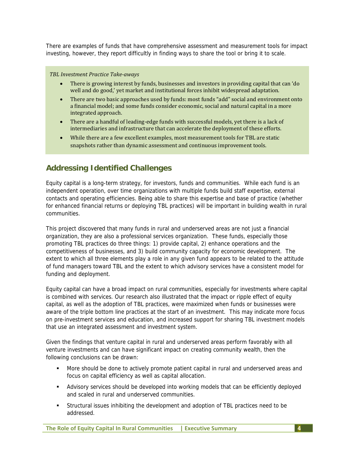There are examples of funds that have comprehensive assessment and measurement tools for impact investing, however, they report difficultly in finding ways to share the tool or bring it to scale.

#### *TBL Investment Practice Take‐aways*

- There is growing interest by funds, businesses and investors in providing capital that can 'do well and do good,' yet market and institutional forces inhibit widespread adaptation.
- There are two basic approaches used by funds: most funds "add" social and environment onto a financial model; and some funds consider economic, social and natural capital in a more integrated approach.
- There are a handful of leading‐edge funds with successful models, yet there is a lack of intermediaries and infrastructure that can accelerate the deployment of these efforts.
- While there are a few excellent examples, most measurement tools for TBL are static snapshots rather than dynamic assessment and continuous improvement tools.

## **Addressing Identified Challenges**

Equity capital is a long-term strategy, for investors, funds and communities. While each fund is an independent operation, over time organizations with multiple funds build staff expertise, external contacts and operating efficiencies. Being able to share this expertise and base of practice (whether for enhanced financial returns or deploying TBL practices) will be important in building wealth in rural communities.

This project discovered that many funds in rural and underserved areas are not just a financial organization, they are also a professional services organization. These funds, especially those promoting TBL practices do three things: 1) provide capital, 2) enhance operations and the competitiveness of businesses, and 3) build community capacity for economic development. The extent to which all three elements play a role in any given fund appears to be related to the attitude of fund managers toward TBL and the extent to which advisory services have a consistent model for funding and deployment.

Equity capital can have a broad impact on rural communities, especially for investments where capital is combined with services. Our research also illustrated that the impact or ripple effect of equity capital, as well as the adoption of TBL practices, were maximized when funds or businesses were aware of the triple bottom line practices at the start of an investment. This may indicate more focus on pre-investment services and education, and increased support for sharing TBL investment models that use an integrated assessment and investment system.

Given the findings that venture capital in rural and underserved areas perform favorably with all venture investments and can have significant impact on creating community wealth, then the following conclusions can be drawn:

- More should be done to actively promote patient capital in rural and underserved areas and focus on capital efficiency as well as capital allocation.
- Advisory services should be developed into working models that can be efficiently deployed and scaled in rural and underserved communities.
- Structural issues inhibiting the development and adoption of TBL practices need to be addressed.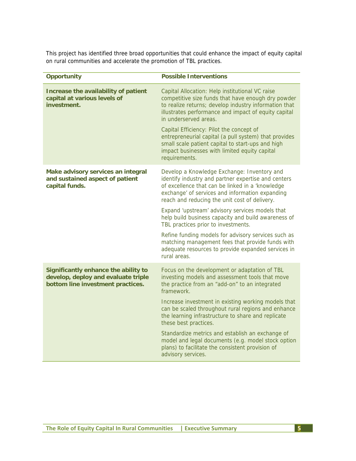This project has identified three broad opportunities that could enhance the impact of equity capital on rural communities and accelerate the promotion of TBL practices.

| <b>Opportunity</b>                                                                                               | <b>Possible Interventions</b>                                                                                                                                                                                                                              |  |  |
|------------------------------------------------------------------------------------------------------------------|------------------------------------------------------------------------------------------------------------------------------------------------------------------------------------------------------------------------------------------------------------|--|--|
| Increase the availability of patient<br>capital at various levels of<br>investment.                              | Capital Allocation: Help institutional VC raise<br>competitive size funds that have enough dry powder<br>to realize returns; develop industry information that<br>illustrates performance and impact of equity capital<br>in underserved areas.            |  |  |
|                                                                                                                  | Capital Efficiency: Pilot the concept of<br>entrepreneurial capital (a pull system) that provides<br>small scale patient capital to start-ups and high<br>impact businesses with limited equity capital<br>requirements.                                   |  |  |
| Make advisory services an integral<br>and sustained aspect of patient<br>capital funds.                          | Develop a Knowledge Exchange: Inventory and<br>identify industry and partner expertise and centers<br>of excellence that can be linked in a 'knowledge<br>exchange' of services and information expanding<br>reach and reducing the unit cost of delivery. |  |  |
|                                                                                                                  | Expand 'upstream' advisory services models that<br>help build business capacity and build awareness of<br>TBL practices prior to investments.                                                                                                              |  |  |
|                                                                                                                  | Refine funding models for advisory services such as<br>matching management fees that provide funds with<br>adequate resources to provide expanded services in<br>rural areas.                                                                              |  |  |
| Significantly enhance the ability to<br>develop, deploy and evaluate triple<br>bottom line investment practices. | Focus on the development or adaptation of TBL<br>investing models and assessment tools that move<br>the practice from an "add-on" to an integrated<br>framework.                                                                                           |  |  |
|                                                                                                                  | Increase investment in existing working models that<br>can be scaled throughout rural regions and enhance<br>the learning infrastructure to share and replicate<br>these best practices.                                                                   |  |  |
|                                                                                                                  | Standardize metrics and establish an exchange of<br>model and legal documents (e.g. model stock option<br>plans) to facilitate the consistent provision of<br>advisory services.                                                                           |  |  |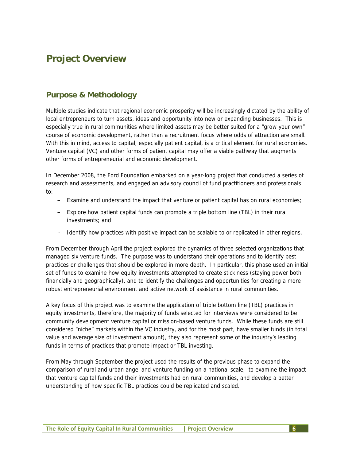# **Project Overview**

## **Purpose & Methodology**

Multiple studies indicate that regional economic prosperity will be increasingly dictated by the ability of local entrepreneurs to turn assets, ideas and opportunity into new or expanding businesses. This is especially true in rural communities where limited assets may be better suited for a "grow your own" course of economic development, rather than a recruitment focus where odds of attraction are small. With this in mind, access to capital, especially patient capital, is a critical element for rural economies. Venture capital (VC) and other forms of patient capital may offer a viable pathway that augments other forms of entrepreneurial and economic development.

In December 2008, the Ford Foundation embarked on a year-long project that conducted a series of research and assessments, and engaged an advisory council of fund practitioners and professionals to:

- Examine and understand the impact that venture or patient capital has on rural economies;
- Explore how patient capital funds can promote a triple bottom line (TBL) in their rural investments; and
- Identify how practices with positive impact can be scalable to or replicated in other regions.

From December through April the project explored the dynamics of three selected organizations that managed six venture funds. The purpose was to understand their operations and to identify best practices or challenges that should be explored in more depth. In particular, this phase used an initial set of funds to examine how equity investments attempted to create stickiness (staying power both financially and geographically), and to identify the challenges and opportunities for creating a more robust entrepreneurial environment and active network of assistance in rural communities.

A key focus of this project was to examine the application of triple bottom line (TBL) practices in equity investments, therefore, the majority of funds selected for interviews were considered to be community development venture capital or mission-based venture funds. While these funds are still considered "niche" markets within the VC industry, and for the most part, have smaller funds (in total value and average size of investment amount), they also represent some of the industry's leading funds in terms of practices that promote impact or TBL investing.

From May through September the project used the results of the previous phase to expand the comparison of rural and urban angel and venture funding on a national scale, to examine the impact that venture capital funds and their investments had on rural communities, and develop a better understanding of how specific TBL practices could be replicated and scaled.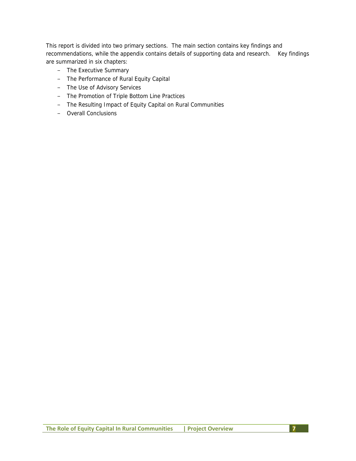This report is divided into two primary sections. The main section contains key findings and recommendations, while the appendix contains details of supporting data and research. Key findings are summarized in six chapters:

- The Executive Summary
- The Performance of Rural Equity Capital
- The Use of Advisory Services
- The Promotion of Triple Bottom Line Practices
- The Resulting Impact of Equity Capital on Rural Communities
- Overall Conclusions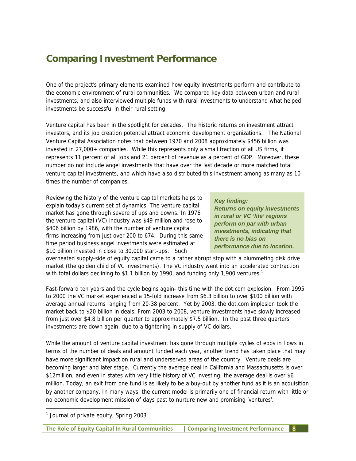# **Comparing Investment Performance**

One of the project's primary elements examined how equity investments perform and contribute to the economic environment of rural communities. We compared key data between urban and rural investments, and also interviewed multiple funds with rural investments to understand what helped investments be successful in their rural setting.

Venture capital has been in the spotlight for decades. The historic returns on investment attract investors, and its job creation potential attract economic development organizations. The National Venture Capital Association notes that between 1970 and 2008 approximately \$456 billion was invested in 27,000+ companies. While this represents only a small fraction of all US firms, it represents 11 percent of all jobs and 21 percent of revenue as a percent of GDP. Moreover, these number do not include angel investments that have over the last decade or more matched total venture capital investments, and which have also distributed this investment among as many as 10 times the number of companies.

Reviewing the history of the venture capital markets helps to explain today's current set of dynamics. The venture capital market has gone through severe of ups and downs. In 1976 the venture capital (VC) industry was \$49 million and rose to \$406 billion by 1986, with the number of venture capital firms increasing from just over 200 to 674. During this same time period business angel investments were estimated at \$10 billion invested in close to 30,000 start-ups. Such

#### *Key finding:*

*Returns on equity investments in rural or VC 'lite' regions perform on par with urban investments, indicating that there is no bias on performance due to location.*

overheated supply-side of equity capital came to a rather abrupt stop with a plummeting disk drive market (the golden child of VC investments). The VC industry went into an accelerated contraction with total dollars declining to \$1.1 billion by 1990, and funding only 1,900 ventures.<sup>1</sup>

Fast-forward ten years and the cycle begins again- this time with the dot.com explosion. From 1995 to 2000 the VC market experienced a 15-fold increase from \$6.3 billion to over \$100 billion with average annual returns ranging from 20-38 percent. Yet by 2003, the dot.com implosion took the market back to \$20 billion in deals. From 2003 to 2008, venture investments have slowly increased from just over \$4.8 billion per quarter to approximately \$7.5 billion. In the past three quarters investments are down again, due to a tightening in supply of VC dollars.

While the amount of venture capital investment has gone through multiple cycles of ebbs in flows in terms of the number of deals and amount funded each year, another trend has taken place that may have more significant impact on rural and underserved areas of the country. Venture deals are becoming larger and later stage. Currently the average deal in California and Massachusetts is over \$12million, and even in states with very little history of VC investing, the average deal is over \$6 million. Today, an exit from one fund is as likely to be a buy-out by another fund as it is an acquisition by another company. In many ways, the current model is primarily one of financial return with little or no economic development mission of days past to nurture new and promising 'ventures'.

-

<sup>&</sup>lt;sup>1</sup> Journal of private equity, Spring 2003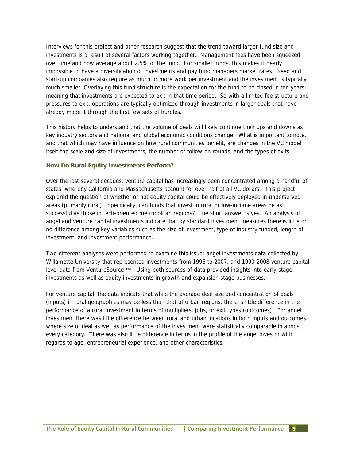Interviews for this project and other research suggest that the trend toward larger fund size and investments is a result of several factors working together. Management fees have been squeezed over time and now average about 2.5% of the fund. For smaller funds, this makes it nearly impossible to have a diversification of investments and pay fund managers market rates. Seed and start-up companies also require as much or more work per investment and the investment is typically much smaller. Overlaying this fund structure is the expectation for the fund to be closed in ten years, meaning that investments are expected to exit in that time period. So with a limited fee structure and pressures to exit, operations are typically optimized through investments in larger deals that have already made it through the first few sets of hurdles.

This history helps to understand that the volume of deals will likely continue their ups and downs as key industry sectors and national and global economic conditions change. What is important to note, and that which may have influence on how rural communities benefit, are changes in the VC model itself-the scale and size of investments, the number of follow-on rounds, and the types of exits.

#### **How Do Rural Equity Investments Perform?**

Over the last several decades, venture capital has increasingly been concentrated among a handful of states, whereby California and Massachusetts account for over half of all VC dollars. This project explored the question of whether or not equity capital could be effectively deployed in underserved areas (primarily rural). Specifically, can funds that invest in rural or low-income areas be as successful as those in tech-oriented metropolitan regions? The short answer is yes. An analysis of angel and venture capital investments indicate that by standard investment measures there is little or no difference among key variables such as the size of investment, type of industry funded, length of investment, and investment performance.

Two different analyses were performed to examine this issue: angel investments data collected by Willamette University that represented investments from 1996 to 2007, and 1990-2008 venture capital level data from VentureSource ™. Using both sources of data provided insights into early-stage investments as well as equity investments in growth and expansion stage businesses.

For venture capital, the data indicate that while the average deal size and concentration of deals (inputs) in rural geographies may be less than that of urban regions, there is little difference in the performance of a rural investment in terms of multipliers, jobs, or exit types (outcomes). For angel investment there was little difference between rural and urban locations in both inputs and outcomes where size of deal as well as performance of the investment were statistically comparable in almost every category. There was also little difference in terms in the profile of the angel investor with regards to age, entrepreneurial experience, and other characteristics.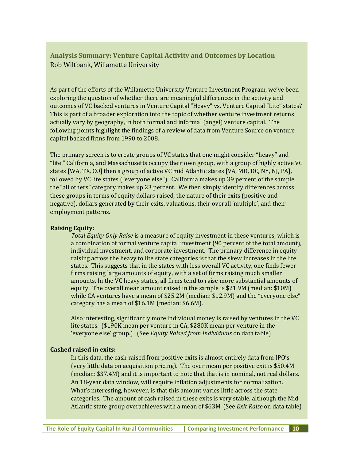### **Analysis Summary: Venture Capital Activity and Outcomes by Location** Rob Wiltbank, Willamette University

As part of the efforts of the Willamette University Venture Investment Program, we've been exploring the question of whether there are meaningful differences in the activity and outcomes of VC backed ventures in Venture Capital "Heavy" vs. Venture Capital "Lite" states? This is part of a broader exploration into the topic of whether venture investment returns actually vary by geography, in both formal and informal (angel) venture capital. The following points highlight the findings of a review of data from Venture Source on venture capital backed firms from 1990 to 2008.

The primary screen is to create groups of VC states that one might consider "heavy" and "lite." California, and Massachusetts occupy their own group, with a group of highly active VC states [WA, TX, CO] then a group of active VC mid Atlantic states [VA, MD, DC, NY, NJ, PA], followed by VC lite states ("everyone else"). California makes up 39 percent of the sample, the "all others" category makes up 23 percent. We then simply identify differences across these groups in terms of equity dollars raised, the nature of their exits (positive and negative), dollars generated by their exits, valuations, their overall 'multiple', and their employment patterns.

#### **Raising Equity:**

*Total Equity Only Raise* is a measure of equity investment in these ventures, which is a combination of formal venture capital investment (90 percent of the total amount), individual investment, and corporate investment. The primary difference in equity raising across the heavy to lite state categories is that the skew increases in the lite states. This suggests that in the states with less overall VC activity, one finds fewer firms raising large amounts of equity, with a set of firms raising much smaller amounts. In the VC heavy states, all firms tend to raise more substantial amounts of equity. The overall mean amount raised in the sample is \$21.9M (median: \$10M) while CA ventures have a mean of \$25.2M (median: \$12.9M) and the "everyone else" category has a mean of \$16.1M (median: \$6.6M).

Also interesting, significantly more individual money is raised by ventures in the VC lite states. (\$190K mean per venture in CA, \$280K mean per venture in the 'everyone else' group.) (See *Equity Raised from Individuals* on data table)

#### **Cashed raised in exits:**

In this data, the cash raised from positive exits is almost entirely data from IPO's (very little data on acquisition pricing). The over mean per positive exit is \$50.4M (median: \$37.4M) and it is important to note that that is in nominal, not real dollars. An 18‐year data window, will require inflation adjustments for normalization. What's interesting, however, is that this amount varies little across the state categories. The amount of cash raised in these exits is very stable, although the Mid Atlantic state group overachieves with a mean of \$63M. (See *Exit Raise* on data table)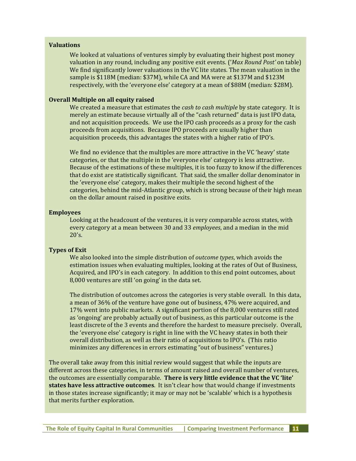#### **Valuations**

We looked at valuations of ventures simply by evaluating their highest post money valuation in any round, including any positive exit events. ('*Max Round Post'* on table) We find significantly lower valuations in the VC lite states. The mean valuation in the sample is \$118M (median: \$37M), while CA and MA were at \$137M and \$123M respectively, with the 'everyone else' category at a mean of \$88M (median: \$28M).

#### **Overall Multiple on all equity raised**

We created a measure that estimates the *cash to cash multiple* by state category. It is merely an estimate because virtually all of the "cash returned" data is just IPO data, and not acquisition proceeds. We use the IPO cash proceeds as a proxy for the cash proceeds from acquisitions. Because IPO proceeds are usually higher than acquisition proceeds, this advantages the states with a higher ratio of IPO's.

We find no evidence that the multiples are more attractive in the VC 'heavy' state categories, or that the multiple in the 'everyone else' category is less attractive. Because of the estimations of these multiples, it is too fuzzy to know if the differences that do exist are statistically significant. That said, the smaller dollar denominator in the 'everyone else' category, makes their multiple the second highest of the categories, behind the mid‐Atlantic group, which is strong because of their high mean on the dollar amount raised in positive exits.

#### **Employees**

Looking at the headcount of the ventures, it is very comparable across states, with every category at a mean between 30 and 33 *employees*, and a median in the mid  $20's.$ 

#### **Types of Exit**

We also looked into the simple distribution of *outcome types*, which avoids the estimation issues when evaluating multiples, looking at the rates of Out of Business, Acquired, and IPO's in each category. In addition to this end point outcomes, about 8,000 ventures are still 'on going' in the data set.

The distribution of outcomes across the categories is very stable overall. In this data, a mean of 36% of the venture have gone out of business, 47% were acquired, and 17% went into public markets. A significant portion of the 8,000 ventures still rated as 'ongoing' are probably actually out of business, as this particular outcome is the least discrete of the 3 events and therefore the hardest to measure precisely. Overall, the 'everyone else' category is right in line with the VC heavy states in both their overall distribution, as well as their ratio of acquisitions to IPO's. (This ratio minimizes any differences in errors estimating "out of business" ventures.)

The overall take away from this initial review would suggest that while the inputs are different across these categories, in terms of amount raised and overall number of ventures, the outcomes are essentially comparable. **There is very little evidence that the VC 'lite' states have less attractive outcomes**. It isn't clear how that would change if investments in those states increase significantly; it may or may not be 'scalable' which is a hypothesis that merits further exploration.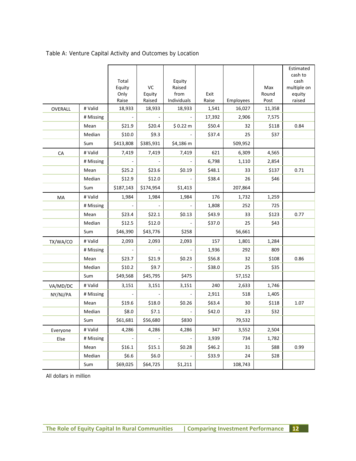| Table A: Venture Capital Activity and Outcomes by Location |
|------------------------------------------------------------|
|------------------------------------------------------------|

|          |           |                 |           |                  |        |           |        | Estimated       |
|----------|-----------|-----------------|-----------|------------------|--------|-----------|--------|-----------------|
|          |           |                 |           |                  |        |           |        | cash to<br>cash |
|          |           | Total<br>Equity | VC        | Equity<br>Raised |        |           | Max    | multiple on     |
|          |           | Only            | Equity    | from             | Exit   |           | Round  | equity          |
|          |           | Raise           | Raised    | Individuals      | Raise  | Employees | Post   | raised          |
| OVERALL  | # Valid   | 18,933          | 18,933    | 18,933           | 1,541  | 16,027    | 11,358 |                 |
|          | # Missing |                 |           |                  | 17,392 | 2,906     | 7,575  |                 |
|          | Mean      | \$21.9          | \$20.4    | \$0.22 m         | \$50.4 | 32        | \$118  | 0.84            |
|          | Median    | \$10.0          | \$9.3     |                  | \$37.4 | 25        | \$37   |                 |
|          | Sum       | \$413,808       | \$385,931 | \$4,186 m        |        | 509,952   |        |                 |
| CA       | # Valid   | 7,419           | 7,419     | 7,419            | 621    | 6,309     | 4,565  |                 |
|          | # Missing |                 |           |                  | 6,798  | 1,110     | 2,854  |                 |
|          | Mean      | \$25.2          | \$23.6    | \$0.19           | \$48.1 | 33        | \$137  | 0.71            |
|          | Median    | \$12.9          | \$12.0    |                  | \$38.4 | 26        | \$46   |                 |
|          | Sum       | \$187,143       | \$174,954 | \$1,413          |        | 207,864   |        |                 |
| MA       | # Valid   | 1,984           | 1,984     | 1,984            | 176    | 1,732     | 1,259  |                 |
|          | # Missing |                 |           |                  | 1,808  | 252       | 725    |                 |
|          | Mean      | \$23.4          | \$22.1    | \$0.13           | \$43.9 | 33        | \$123  | 0.77            |
|          | Median    | \$12.5          | \$12.0    |                  | \$37.0 | 25        | \$43   |                 |
|          | Sum       | \$46,390        | \$43,776  | \$258            |        | 56,661    |        |                 |
| TX/WA/CO | # Valid   | 2,093           | 2,093     | 2,093            | 157    | 1,801     | 1,284  |                 |
|          | # Missing |                 |           |                  | 1,936  | 292       | 809    |                 |
|          | Mean      | \$23.7          | \$21.9    | \$0.23           | \$56.8 | 32        | \$108  | 0.86            |
|          | Median    | \$10.2          | \$9.7     |                  | \$38.0 | 25        | \$35   |                 |
|          | Sum       | \$49,568        | \$45,795  | \$475            |        | 57,152    |        |                 |
| VA/MD/DC | # Valid   | 3,151           | 3,151     | 3,151            | 240    | 2,633     | 1,746  |                 |
| NY/NJ/PA | # Missing |                 |           |                  | 2,911  | 518       | 1,405  |                 |
|          | Mean      | \$19.6          | \$18.0    | \$0.26           | \$63.4 | 30        | \$118  | 1.07            |
|          | Median    | \$8.0           | \$7.1     |                  | \$42.0 | 23        | \$32   |                 |
|          | Sum       | \$61,681        | \$56,680  | \$830            |        | 79,532    |        |                 |
| Everyone | # Valid   | 4,286           | 4,286     | 4,286            | 347    | 3,552     | 2,504  |                 |
| Else     | # Missing |                 |           |                  | 3,939  | 734       | 1,782  |                 |
|          | Mean      | \$16.1          | \$15.1    | \$0.28           | \$46.2 | 31        | \$88   | 0.99            |
|          | Median    | \$6.6           | \$6.0     |                  | \$33.9 | 24        | \$28   |                 |
|          | Sum       | \$69,025        | \$64,725  | \$1,211          |        | 108,743   |        |                 |

All dollars in million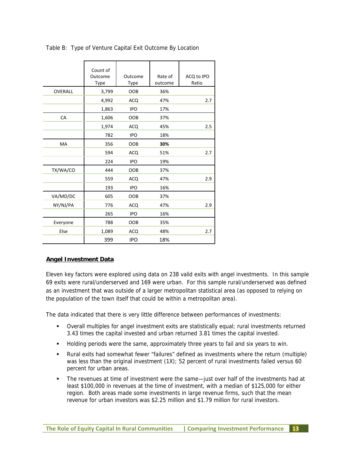|                | Count of<br>Outcome<br><b>Type</b> | Outcome<br>Type | Rate of<br>outcome | ACQ to IPO<br>Ratio |
|----------------|------------------------------------|-----------------|--------------------|---------------------|
| <b>OVERALL</b> | 3,799                              | <b>OOB</b>      | 36%                |                     |
|                | 4,992                              | <b>ACQ</b>      | 47%                | 2.7                 |
|                | 1,863                              | <b>IPO</b>      | 17%                |                     |
| CA             | 1,606                              | OOB             | 37%                |                     |
|                | 1,974                              | <b>ACQ</b>      | 45%                | 2.5                 |
|                | 782                                | <b>IPO</b>      | 18%                |                     |
| MA             | 356                                | <b>OOB</b>      | 30%                |                     |
|                | 594                                | <b>ACQ</b>      | 51%                | 2.7                 |
|                | 224                                | <b>IPO</b>      | 19%                |                     |
| TX/WA/CO       | 444                                | <b>OOB</b>      | 37%                |                     |
|                | 559                                | <b>ACQ</b>      | 47%                | 2.9                 |
|                | 193                                | <b>IPO</b>      | 16%                |                     |
| VA/MD/DC       | 605                                | OOB             | 37%                |                     |
| NY/NJ/PA       | 776                                | <b>ACQ</b>      | 47%                | 2.9                 |
|                | 265                                | <b>IPO</b>      | 16%                |                     |
| Everyone       | 788                                | <b>OOB</b>      | 35%                |                     |
| Else           | 1,089                              | <b>ACQ</b>      | 48%                | 2.7                 |
|                | 399                                | <b>IPO</b>      | 18%                |                     |

Table B: Type of Venture Capital Exit Outcome By Location

#### **Angel Investment Data**

Eleven key factors were explored using data on 238 valid exits with angel investments. In this sample 69 exits were rural/underserved and 169 were urban. For this sample rural/underserved was defined as an investment that was outside of a larger metropolitan statistical area (as opposed to relying on the population of the town itself that could be within a metropolitan area).

The data indicated that there is very little difference between performances of investments:

- Overall multiples for angel investment exits are statistically equal; rural investments returned 3.43 times the capital invested and urban returned 3.81 times the capital invested.
- Holding periods were the same, approximately three years to fail and six years to win.
- Rural exits had somewhat fewer "failures" defined as investments where the return (multiple) was less than the original investment (1X); 52 percent of rural investments failed versus 60 percent for urban areas.
- The revenues at time of investment were the same—just over half of the investments had at least \$100,000 in revenues at the time of investment, with a median of \$125,000 for either region. Both areas made some investments in large revenue firms, such that the mean revenue for urban investors was \$2.25 million and \$1.79 million for rural investors.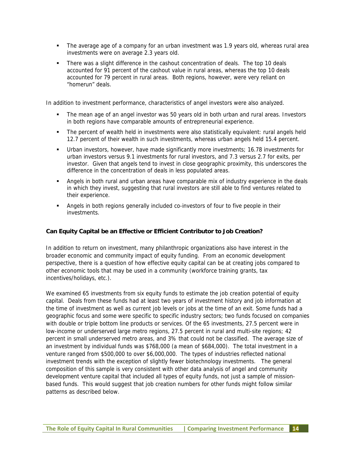- The average age of a company for an urban investment was 1.9 years old, whereas rural area investments were on average 2.3 years old.
- There was a slight difference in the cashout concentration of deals. The top 10 deals accounted for 91 percent of the cashout value in rural areas, whereas the top 10 deals accounted for 79 percent in rural areas. Both regions, however, were very reliant on "homerun" deals.

In addition to investment performance, characteristics of angel investors were also analyzed.

- The mean age of an angel investor was 50 years old in both urban and rural areas. Investors in both regions have comparable amounts of entrepreneurial experience.
- The percent of wealth held in investments were also statistically equivalent: rural angels held 12.7 percent of their wealth in such investments, whereas urban angels held 15.4 percent.
- Urban investors, however, have made significantly more investments; 16.78 investments for urban investors versus 9.1 investments for rural investors, and 7.3 versus 2.7 for exits, per investor. Given that angels tend to invest in close geographic proximity, this underscores the difference in the concentration of deals in less populated areas.
- Angels in both rural and urban areas have comparable mix of industry experience in the deals in which they invest, suggesting that rural investors are still able to find ventures related to their experience.
- Angels in both regions generally included co-investors of four to five people in their investments.

#### **Can Equity Capital be an Effective or Efficient Contributor to Job Creation?**

In addition to return on investment, many philanthropic organizations also have interest in the broader economic and community impact of equity funding. From an economic development perspective, there is a question of how effective equity capital can be at creating jobs compared to other economic tools that may be used in a community (workforce training grants, tax incentives/holidays, etc.).

We examined 65 investments from six equity funds to estimate the job creation potential of equity capital. Deals from these funds had at least two years of investment history and job information at the time of investment as well as current job levels or jobs at the time of an exit. Some funds had a geographic focus and some were specific to specific industry sectors; two funds focused on companies with double or triple bottom line products or services. Of the 65 investments, 27.5 percent were in low-income or underserved large metro regions, 27.5 percent in rural and multi-site regions; 42 percent in small underserved metro areas, and 3% that could not be classified. The average size of an investment by individual funds was \$768,000 (a mean of \$684,000). The total investment in a venture ranged from \$500,000 to over \$6,000,000. The types of industries reflected national investment trends with the exception of slightly fewer biotechnology investments. The general composition of this sample is very consistent with other data analysis of angel and community development venture capital that included all types of equity funds, not just a sample of missionbased funds. This would suggest that job creation numbers for other funds might follow similar patterns as described below.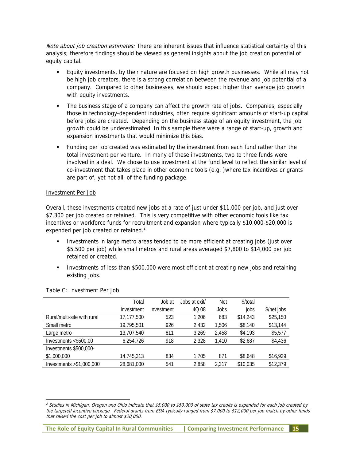Note about job creation estimates: There are inherent issues that influence statistical certainty of this analysis; therefore findings should be viewed as general insights about the job creation potential of equity capital.

- Equity investments, by their nature are focused on high growth businesses. While all may not be high job creators, there is a strong correlation between the revenue and job potential of a company. Compared to other businesses, we should expect higher than average job growth with equity investments.
- The business stage of a company can affect the growth rate of jobs. Companies, especially those in technology-dependent industries, often require significant amounts of start-up capital before jobs are created. Depending on the business stage of an equity investment, the job growth could be underestimated. In this sample there were a range of start-up, growth and expansion investments that would minimize this bias.
- Funding per job created was estimated by the investment from each fund rather than the total investment per venture. In many of these investments, two to three funds were involved in a deal. We chose to use investment at the fund level to reflect the similar level of co-investment that takes place in other economic tools (e.g. )where tax incentives or grants are part of, yet not all, of the funding package.

#### Investment Per Job

Overall, these investments created new jobs at a rate of just under \$11,000 per job, and just over \$7,300 per job created or retained. This is very competitive with other economic tools like tax incentives or workforce funds for recruitment and expansion where typically \$10,000-\$20,000 is expended per job created or retained.<sup>2</sup>

- Investments in large metro areas tended to be more efficient at creating jobs (just over \$5,500 per job) while small metros and rural areas averaged \$7,800 to \$14,000 per job retained or created.
- Investments of less than \$500,000 were most efficient at creating new jobs and retaining existing jobs.

|                             | Total      | Job at     | Jobs at exit/ | <b>Net</b> | \$/total |             |
|-----------------------------|------------|------------|---------------|------------|----------|-------------|
|                             | investment | Investment | 4Q 08         | Jobs       | jobs     | \$/net jobs |
| Rural/multi-site with rural | 17,177,500 | 523        | 1,206         | 683        | \$14,243 | \$25,150    |
| Small metro                 | 19,795,501 | 926        | 2,432         | 1,506      | \$8,140  | \$13,144    |
| Large metro                 | 13,707,540 | 811        | 3,269         | 2,458      | \$4,193  | \$5,577     |
| Investments $< $500,00$     | 6,254,726  | 918        | 2,328         | 1,410      | \$2,687  | \$4,436     |
| Investments \$500,000-      |            |            |               |            |          |             |
| \$1,000,000                 | 14,745,313 | 834        | 1.705         | 871        | \$8,648  | \$16,929    |
| Investments $> $1,000,000$  | 28,681,000 | 541        | 2,858         | 2,317      | \$10,035 | \$12,379    |
|                             |            |            |               |            |          |             |

Table C: Investment Per Job

 $^2$  Studies in Michigan, Oregon and Ohio indicate that \$5,000 to \$50,000 of state tax credits is expended for each job created by the targeted incentive package. Federal grants from EDA typically ranged from \$7,000 to \$12,000 per job match by other funds that raised the cost per job to almost \$20,000.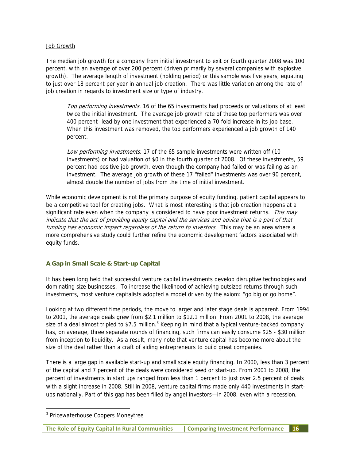#### Job Growth

The median job growth for a company from initial investment to exit or fourth quarter 2008 was 100 percent, with an average of over 200 percent (driven primarily by several companies with explosive growth). The average length of investment (holding period) or this sample was five years, equating to just over 18 percent per year in annual job creation. There was little variation among the rate of job creation in regards to investment size or type of industry.

Top performing investments. 16 of the 65 investments had proceeds or valuations of at least twice the initial investment. The average job growth rate of these top performers was over 400 percent- lead by one investment that experienced a 70-fold increase in its job base. When this investment was removed, the top performers experienced a job growth of 140 percent.

Low performing investments. 17 of the 65 sample investments were written off (10 investments) or had valuation of \$0 in the fourth quarter of 2008. Of these investments, 59 percent had positive job growth, even though the company had failed or was failing as an investment. The average job growth of these 17 "failed" investments was over 90 percent, almost double the number of jobs from the time of initial investment.

While economic development is not the primary purpose of equity funding, patient capital appears to be a competitive tool for creating jobs. What is most interesting is that job creation happens at a significant rate even when the company is considered to have poor investment returns. This may indicate that the act of providing equity capital and the services and advice that is a part of that funding has economic impact regardless of the return to investors. This may be an area where a more comprehensive study could further refine the economic development factors associated with equity funds.

#### **A Gap in Small Scale & Start-up Capital**

It has been long held that successful venture capital investments develop disruptive technologies and dominating size businesses. To increase the likelihood of achieving outsized returns through such investments, most venture capitalists adopted a model driven by the axiom: "go big or go home".

Looking at two different time periods, the move to larger and later stage deals is apparent. From 1994 to 2001, the average deals grew from \$2.1 million to \$12.1 million. From 2001 to 2008, the average size of a deal almost tripled to \$7.5 million.<sup>3</sup> Keeping in mind that a typical venture-backed company has, on average, three separate rounds of financing, such firms can easily consume \$25 - \$30 million from inception to liquidity. As a result, many note that venture capital has become more about the size of the deal rather than a craft of aiding entrepreneurs to build great companies.

There is a large gap in available start-up and small scale equity financing. In 2000, less than 3 percent of the capital and 7 percent of the deals were considered seed or start-up. From 2001 to 2008, the percent of investments in start ups ranged from less than 1 percent to just over 2.5 percent of deals with a slight increase in 2008. Still in 2008, venture capital firms made only 440 investments in startups nationally. Part of this gap has been filled by angel investors—in 2008, even with a recession,

-

<sup>&</sup>lt;sup>3</sup> Pricewaterhouse Coopers Moneytree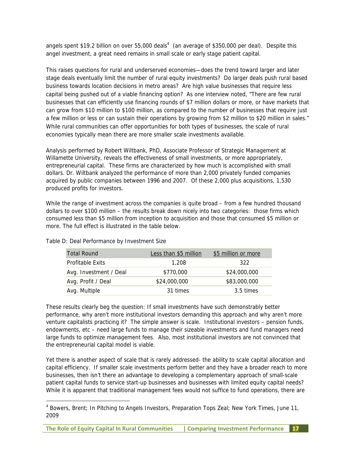angels spent \$19.2 billion on over 55,000 deals<sup>4</sup> (an average of \$350,000 per deal). Despite this angel investment, a great need remains in small scale or early stage patient capital.

This raises questions for rural and underserved economies—does the trend toward larger and later stage deals eventually limit the number of rural equity investments? Do larger deals push rural based business towards location decisions in metro areas? Are high value businesses that require less capital being pushed out of a viable financing option? As one interview noted, "There are few rural businesses that can efficiently use financing rounds of \$7 million dollars or more, or have markets that can grow from \$10 million to \$100 million, as compared to the number of businesses that require just a few million or less or can sustain their operations by growing from \$2 million to \$20 million in sales." While rural communities can offer opportunities for both types of businesses, the scale of rural economies typically mean there are more smaller scale investments available.

Analysis performed by Robert Wiltbank, PhD, Associate Professor of Strategic Management at Willamette University, reveals the effectiveness of small investments, or more appropriately, entrepreneurial capital. These firms are characterized by how much is accomplished with small dollars. Dr. Wiltbank analyzed the performance of more than 2,000 privately funded companies acquired by public companies between 1996 and 2007. Of these 2,000 plus acquisitions, 1,530 produced profits for investors.

While the range of investment across the companies is quite broad – from a few hundred thousand dollars to over \$100 million – the results break down nicely into two categories: those firms which consumed less than \$5 million from inception to acquisition and those that consumed \$5 million or more. The full effect is illustrated in the table below.

| <b>Total Round</b>     | Less than \$5 million | \$5 million or more |
|------------------------|-----------------------|---------------------|
| Profitable Exits       | 1,208                 | 322                 |
| Avg. Investment / Deal | \$770,000             | \$24,000,000        |
| Avg. Profit / Deal     | \$24,000,000          | \$83,000,000        |
| Avg. Multiple          | 31 times              | 3.5 times           |

Table D: Deal Performance by Investment Size

-

These results clearly beg the question: If small investments have such demonstrably better performance, why aren't more institutional investors demanding this approach and why aren't more venture capitalists practicing it? The simple answer is scale. Institutional investors – pension funds, endowments, etc – need large funds to manage their sizeable investments and fund managers need large funds to optimize management fees. Also, most institutional investors are not convinced that the entrepreneurial capital model is viable.

Yet there is another aspect of scale that is rarely addressed- the ability to scale capital allocation and capital efficiency. If smaller scale investments perform better and they have a broader reach to more businesses, then isn't there an advantage to developing a complementary approach of small-scale patient capital funds to service start-up businesses and businesses with limited equity capital needs? While it is apparent that traditional management fees would not suffice to fund operations, there are

<sup>&</sup>lt;sup>4</sup> Bowers, Brent; In Pitching to Angels Investors, Preparation Tops Zeal; New York Times, June 11, 2009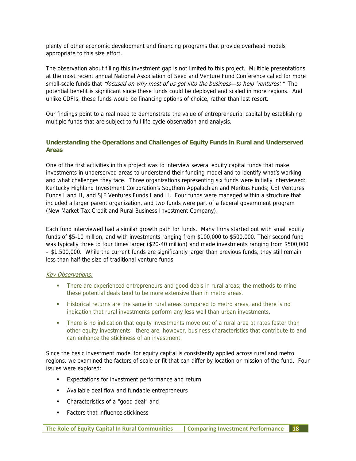plenty of other economic development and financing programs that provide overhead models appropriate to this size effort.

The observation about filling this investment gap is not limited to this project. Multiple presentations at the most recent annual National Association of Seed and Venture Fund Conference called for more small-scale funds that "focused on why most of us got into the business-to help 'ventures'." The potential benefit is significant since these funds could be deployed and scaled in more regions. And unlike CDFIs, these funds would be financing options of choice, rather than last resort.

Our findings point to a real need to demonstrate the value of entrepreneurial capital by establishing multiple funds that are subject to full life-cycle observation and analysis.

#### **Understanding the Operations and Challenges of Equity Funds in Rural and Underserved Areas**

One of the first activities in this project was to interview several equity capital funds that make investments in underserved areas to understand their funding model and to identify what's working and what challenges they face. Three organizations representing six funds were initially interviewed: Kentucky Highland Investment Corporation's Southern Appalachian and Meritus Funds; CEI Ventures Funds I and II, and SJF Ventures Funds I and II. Four funds were managed within a structure that included a larger parent organization, and two funds were part of a federal government program (New Market Tax Credit and Rural Business Investment Company).

Each fund interviewed had a similar growth path for funds. Many firms started out with small equity funds of \$5-10 million, and with investments ranging from \$100,000 to \$500,000. Their second fund was typically three to four times larger (\$20-40 million) and made investments ranging from \$500,000 – \$1,500,000. While the current funds are significantly larger than previous funds, they still remain less than half the size of traditional venture funds.

#### Key Observations:

- There are experienced entrepreneurs and good deals in rural areas; the methods to mine these potential deals tend to be more extensive than in metro areas.
- Historical returns are the same in rural areas compared to metro areas, and there is no indication that rural investments perform any less well than urban investments.
- **There is no indication that equity investments move out of a rural area at rates faster than** other equity investments—there are, however, business characteristics that contribute to and can enhance the stickiness of an investment.

Since the basic investment model for equity capital is consistently applied across rural and metro regions, we examined the factors of scale or fit that can differ by location or mission of the fund. Four issues were explored:

- Expectations for investment performance and return
- Available deal flow and fundable entrepreneurs
- Characteristics of a "good deal" and
- Factors that influence stickiness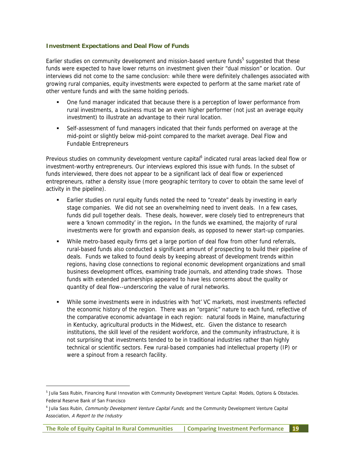#### **Investment Expectations and Deal Flow of Funds**

Earlier studies on community development and mission-based venture funds<sup>5</sup> suggested that these funds were expected to have lower returns on investment given their "dual mission" or location. Our interviews did not come to the same conclusion: while there were definitely challenges associated with growing rural companies, equity investments were expected to perform at the same market rate of other venture funds and with the same holding periods.

- One fund manager indicated that because there is a perception of lower performance from rural investments, a business must be an even higher performer (not just an average equity investment) to illustrate an advantage to their rural location.
- Self-assessment of fund managers indicated that their funds performed on average at the mid-point or slightly below mid-point compared to the market average. Deal Flow and Fundable Entrepreneurs

Previous studies on community development venture capital<sup>6</sup> indicated rural areas lacked deal flow or investment-worthy entrepreneurs. Our interviews explored this issue with funds. In the subset of funds interviewed, there does not appear to be a significant lack of deal flow or experienced entrepreneurs, rather a density issue (more geographic territory to cover to obtain the same level of activity in the pipeline).

- Earlier studies on rural equity funds noted the need to "create" deals by investing in early stage companies. We did not see an overwhelming need to invent deals. In a few cases, funds did pull together deals. These deals, however, were closely tied to entrepreneurs that were a 'known commodity' in the region**.** In the funds we examined, the majority of rural investments were for growth and expansion deals, as opposed to newer start-up companies.
- While metro-based equity firms get a large portion of deal flow from other fund referrals, rural-based funds also conducted a significant amount of prospecting to build their pipeline of deals. Funds we talked to found deals by keeping abreast of development trends within regions, having close connections to regional economic development organizations and small business development offices, examining trade journals, and attending trade shows. Those funds with extended partnerships appeared to have less concerns about the quality or quantity of deal flow--underscoring the value of rural networks.
- While some investments were in industries with 'hot' VC markets, most investments reflected the economic history of the region. There was an "organic" nature to each fund, reflective of the comparative economic advantage in each region: natural foods in Maine, manufacturing in Kentucky, agricultural products in the Midwest, etc. Given the distance to research institutions, the skill level of the resident workforce, and the community infrastructure, it is not surprising that investments tended to be in traditional industries rather than highly technical or scientific sectors. Few rural-based companies had intellectual property (IP) or were a spinout from a research facility.

-

**The Role of Equity Capital In Rural Communities | Comparing Investment Performance 19**

<sup>&</sup>lt;sup>5</sup> Julia Sass Rubin, Financing Rural Innovation with Community Development Venture Capital: Models, Options & Obstacles. Federal Reserve Bank of San Francisco

<sup>&</sup>lt;sup>6</sup> Julia Sass Rubin, Community Development Venture Capital Funds; and the Community Development Venture Capital Association, A Report to the Industry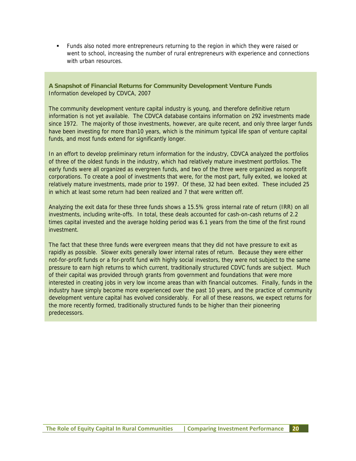Funds also noted more entrepreneurs returning to the region in which they were raised or went to school, increasing the number of rural entrepreneurs with experience and connections with urban resources.

**A Snapshot of Financial Returns for Community Development Venture Funds**  Information developed by CDVCA, 2007

The community development venture capital industry is young, and therefore definitive return information is not yet available. The CDVCA database contains information on 292 investments made since 1972. The majority of those investments, however, are quite recent, and only three larger funds have been investing for more than10 years, which is the minimum typical life span of venture capital funds, and most funds extend for significantly longer.

In an effort to develop preliminary return information for the industry, CDVCA analyzed the portfolios of three of the oldest funds in the industry, which had relatively mature investment portfolios. The early funds were all organized as evergreen funds, and two of the three were organized as nonprofit corporations. To create a pool of investments that were, for the most part, fully exited, we looked at relatively mature investments, made prior to 1997. Of these, 32 had been exited. These included 25 in which at least some return had been realized and 7 that were written off.

Analyzing the exit data for these three funds shows a 15.5% gross internal rate of return (IRR) on all investments, including write-offs. In total, these deals accounted for cash-on-cash returns of 2.2 times capital invested and the average holding period was 6.1 years from the time of the first round investment.

The fact that these three funds were evergreen means that they did not have pressure to exit as rapidly as possible. Slower exits generally lower internal rates of return. Because they were either not-for-profit funds or a for-profit fund with highly social investors, they were not subject to the same pressure to earn high returns to which current, traditionally structured CDVC funds are subject. Much of their capital was provided through grants from government and foundations that were more interested in creating jobs in very low income areas than with financial outcomes. Finally, funds in the industry have simply become more experienced over the past 10 years, and the practice of community development venture capital has evolved considerably. For all of these reasons, we expect returns for the more recently formed, traditionally structured funds to be higher than their pioneering predecessors.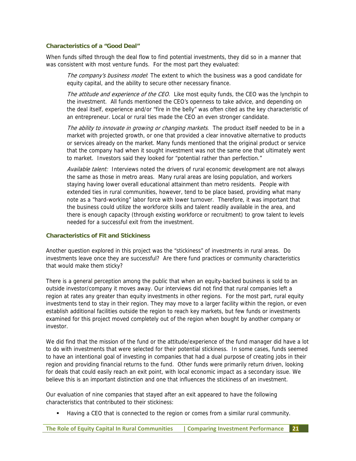#### **Characteristics of a "Good Deal"**

When funds sifted through the deal flow to find potential investments, they did so in a manner that was consistent with most venture funds. For the most part they evaluated:

The company's business model: The extent to which the business was a good candidate for equity capital, and the ability to secure other necessary finance.

The attitude and experience of the CEO. Like most equity funds, the CEO was the lynchpin to the investment. All funds mentioned the CEO's openness to take advice, and depending on the deal itself, experience and/or "fire in the belly" was often cited as the key characteristic of an entrepreneur. Local or rural ties made the CEO an even stronger candidate.

The ability to innovate in growing or changing markets. The product itself needed to be in a market with projected growth, or one that provided a clear innovative alternative to products or services already on the market. Many funds mentioned that the original product or service that the company had when it sought investment was not the same one that ultimately went to market. Investors said they looked for "potential rather than perfection."

Available talent: Interviews noted the drivers of rural economic development are not always the same as those in metro areas. Many rural areas are losing population, and workers staying having lower overall educational attainment than metro residents. People with extended ties in rural communities, however, tend to be place based, providing what many note as a "hard-working" labor force with lower turnover. Therefore, it was important that the business could utilize the workforce skills and talent readily available in the area, and there is enough capacity (through existing workforce or recruitment) to grow talent to levels needed for a successful exit from the investment.

#### **Characteristics of Fit and Stickiness**

Another question explored in this project was the "stickiness" of investments in rural areas. Do investments leave once they are successful? Are there fund practices or community characteristics that would make them sticky?

There is a general perception among the public that when an equity-backed business is sold to an outside investor/company it moves away. Our interviews did not find that rural companies left a region at rates any greater than equity investments in other regions. For the most part, rural equity investments tend to stay in their region. They may move to a larger facility within the region, or even establish additional facilities outside the region to reach key markets, but few funds or investments examined for this project moved completely out of the region when bought by another company or investor.

We did find that the mission of the fund or the attitude/experience of the fund manager did have a lot to do with investments that were selected for their potential stickiness. In some cases, funds seemed to have an intentional goal of investing in companies that had a dual purpose of creating jobs in their region and providing financial returns to the fund. Other funds were primarily return driven, looking for deals that could easily reach an exit point, with local economic impact as a secondary issue. We believe this is an important distinction and one that influences the stickiness of an investment.

Our evaluation of nine companies that stayed after an exit appeared to have the following characteristics that contributed to their stickiness:

Having a CEO that is connected to the region or comes from a similar rural community.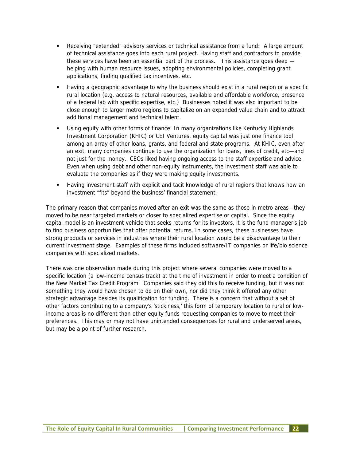- Receiving "extended" advisory services or technical assistance from a fund: A large amount of technical assistance goes into each rural project. Having staff and contractors to provide these services have been an essential part of the process. This assistance goes deep helping with human resource issues, adopting environmental policies, completing grant applications, finding qualified tax incentives, etc.
- Having a geographic advantage to why the business should exist in a rural region or a specific rural location (e.g. access to natural resources, available and affordable workforce, presence of a federal lab with specific expertise, etc.) Businesses noted it was also important to be close enough to larger metro regions to capitalize on an expanded value chain and to attract additional management and technical talent.
- Using equity with other forms of finance: In many organizations like Kentucky Highlands Investment Corporation (KHIC) or CEI Ventures, equity capital was just one finance tool among an array of other loans, grants, and federal and state programs. At KHIC, even after an exit, many companies continue to use the organization for loans, lines of credit, etc—and not just for the money. CEOs liked having ongoing access to the staff expertise and advice. Even when using debt and other non-equity instruments, the investment staff was able to evaluate the companies as if they were making equity investments.
- Having investment staff with explicit and tacit knowledge of rural regions that knows how an investment "fits" beyond the business' financial statement.

The primary reason that companies moved after an exit was the same as those in metro areas—they moved to be near targeted markets or closer to specialized expertise or capital. Since the equity capital model is an investment vehicle that seeks returns for its investors, it is the fund manager's job to find business opportunities that offer potential returns. In some cases, these businesses have strong products or services in industries where their rural location would be a disadvantage to their current investment stage. Examples of these firms included software/IT companies or life/bio science companies with specialized markets.

There was one observation made during this project where several companies were moved to a specific location (a low-income census track) at the time of investment in order to meet a condition of the New Market Tax Credit Program. Companies said they did this to receive funding, but it was not something they would have chosen to do on their own, nor did they think it offered any other strategic advantage besides its qualification for funding. There is a concern that without a set of other factors contributing to a company's 'stickiness,' this form of temporary location to rural or lowincome areas is no different than other equity funds requesting companies to move to meet their preferences. This may or may not have unintended consequences for rural and underserved areas, but may be a point of further research.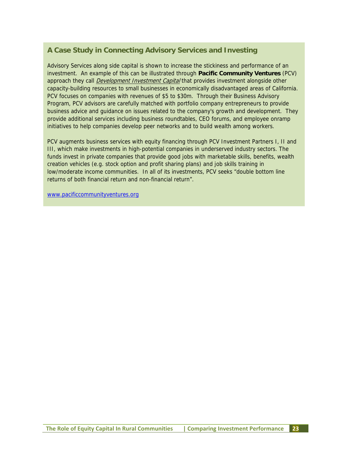## **A Case Study in Connecting Advisory Services and Investing**

Advisory Services along side capital is shown to increase the stickiness and performance of an investment. An example of this can be illustrated through **Pacific Community Ventures** (PCV) approach they call *Development Investment Capital* that provides investment alongside other capacity-building resources to small businesses in economically disadvantaged areas of California. PCV focuses on companies with revenues of \$5 to \$30m. Through their Business Advisory Program, PCV advisors are carefully matched with portfolio company entrepreneurs to provide business advice and guidance on issues related to the company's growth and development. They provide additional services including business roundtables, CEO forums, and employee onramp initiatives to help companies develop peer networks and to build wealth among workers.

PCV augments business services with equity financing through PCV Investment Partners I, II and III, which make investments in high-potential companies in underserved industry sectors. The funds invest in private companies that provide good jobs with marketable skills, benefits, wealth creation vehicles (e.g. stock option and profit sharing plans) and job skills training in low/moderate income communities. In all of its investments, PCV seeks "double bottom line returns of both financial return and non-financial return".

www.pacificcommunityventures.org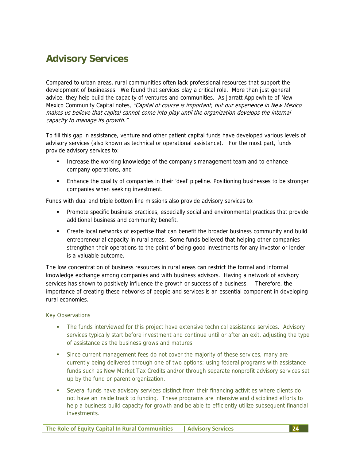# **Advisory Services**

Compared to urban areas, rural communities often lack professional resources that support the development of businesses. We found that services play a critical role. More than just general advice, they help build the capacity of ventures and communities. As Jarratt Applewhite of New Mexico Community Capital notes, "Capital of course is important, but our experience in New Mexico makes us believe that capital cannot come into play until the organization develops the internal capacity to manage its growth."

To fill this gap in assistance, venture and other patient capital funds have developed various levels of advisory services (also known as technical or operational assistance). For the most part, funds provide advisory services to:

- Increase the working knowledge of the company's management team and to enhance company operations, and
- Enhance the quality of companies in their 'deal' pipeline. Positioning businesses to be stronger companies when seeking investment.

Funds with dual and triple bottom line missions also provide advisory services to:

- Promote specific business practices, especially social and environmental practices that provide additional business and community benefit.
- Create local networks of expertise that can benefit the broader business community and build entrepreneurial capacity in rural areas. Some funds believed that helping other companies strengthen their operations to the point of being good investments for any investor or lender is a valuable outcome.

The low concentration of business resources in rural areas can restrict the formal and informal knowledge exchange among companies and with business advisors. Having a network of advisory services has shown to positively influence the growth or success of a business. Therefore, the importance of creating these networks of people and services is an essential component in developing rural economies.

Key Observations

- The funds interviewed for this project have extensive technical assistance services. Advisory services typically start before investment and continue until or after an exit, adjusting the type of assistance as the business grows and matures.
- Since current management fees do not cover the majority of these services, many are currently being delivered through one of two options: using federal programs with assistance funds such as New Market Tax Credits and/or through separate nonprofit advisory services set up by the fund or parent organization.
- Several funds have advisory services distinct from their financing activities where clients do not have an inside track to funding. These programs are intensive and disciplined efforts to help a business build capacity for growth and be able to efficiently utilize subsequent financial investments.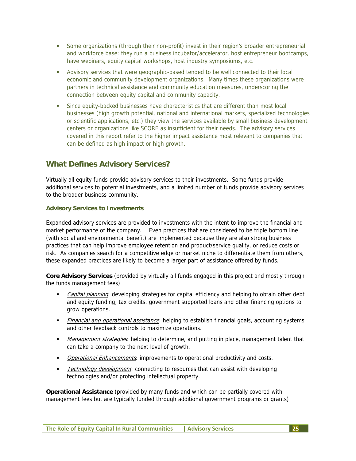- Some organizations (through their non-profit) invest in their region's broader entrepreneurial and workforce base: they run a business incubator/accelerator, host entrepreneur bootcamps, have webinars, equity capital workshops, host industry symposiums, etc.
- **Advisory services that were geographic-based tended to be well connected to their local** economic and community development organizations. Many times these organizations were partners in technical assistance and community education measures, underscoring the connection between equity capital and community capacity.
- Since equity-backed businesses have characteristics that are different than most local businesses (high growth potential, national and international markets, specialized technologies or scientific applications, etc.) they view the services available by small business development centers or organizations like SCORE as insufficient for their needs. The advisory services covered in this report refer to the higher impact assistance most relevant to companies that can be defined as high impact or high growth.

## **What Defines Advisory Services?**

Virtually all equity funds provide advisory services to their investments. Some funds provide additional services to potential investments, and a limited number of funds provide advisory services to the broader business community.

#### **Advisory Services to Investments**

Expanded advisory services are provided to investments with the intent to improve the financial and market performance of the company. Even practices that are considered to be triple bottom line (with social and environmental benefit) are implemented because they are also strong business practices that can help improve employee retention and product/service quality, or reduce costs or risk. As companies search for a competitive edge or market niche to differentiate them from others, these expanded practices are likely to become a larger part of assistance offered by funds.

**Core Advisory Services** (provided by virtually all funds engaged in this project and mostly through the funds management fees)

- Capital planning: developing strategies for capital efficiency and helping to obtain other debt and equity funding, tax credits, government supported loans and other financing options to grow operations.
- Financial and operational assistance: helping to establish financial goals, accounting systems and other feedback controls to maximize operations.
- Management strategies: helping to determine, and putting in place, management talent that can take a company to the next level of growth.
- **Depational Enhancements:** improvements to operational productivity and costs.
- Technology development: connecting to resources that can assist with developing technologies and/or protecting intellectual property.

**Operational Assistance** (provided by many funds and which can be partially covered with management fees but are typically funded through additional government programs or grants)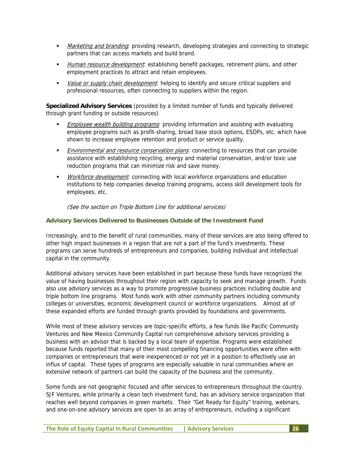- Marketing and branding: providing research, developing strategies and connecting to strategic partners that can access markets and build brand.
- Human resource development: establishing benefit packages, retirement plans, and other employment practices to attract and retain employees.
- Value or supply chain development: helping to identify and secure critical suppliers and professional resources, often connecting to suppliers within the region.

**Specialized Advisory Services** (provided by a limited number of funds and typically delivered through grant funding or outside resources)

- **Employee wealth building programs:** providing information and assisting with evaluating employee programs such as profit-sharing, broad base stock options, ESOPs, etc. which have shown to increase employee retention and product or service quality.
- **Environmental and resource conservation plans:** connecting to resources that can provide assistance with establishing recycling, energy and material conservation, and/or toxic use reduction programs that can minimize risk and save money.
- Workforce development: connecting with local workforce organizations and education institutions to help companies develop training programs, access skill development tools for employees, etc.

#### (See the section on Triple Bottom Line for additional services)

#### **Advisory Services Delivered to Businesses Outside of the Investment Fund**

Increasingly, and to the benefit of rural communities, many of these services are also being offered to other high impact businesses in a region that are not a part of the fund's investments. These programs can serve hundreds of entrepreneurs and companies, building individual and intellectual capital in the community.

Additional advisory services have been established in part because these funds have recognized the value of having businesses throughout their region with capacity to seek and manage growth. Funds also use advisory services as a way to promote progressive business practices including double and triple bottom line programs. Most funds work with other community partners including community colleges or universities, economic development council or workforce organizations. Almost all of these expanded efforts are funded through grants provided by foundations and governments.

While most of these advisory services are topic-specific efforts, a few funds like Pacific Community Ventures and New Mexico Community Capital run comprehensive advisory services providing a business with an advisor that is backed by a local team of expertise. Programs were established because funds reported that many of their most compelling financing opportunities were often with companies or entrepreneurs that were inexperienced or not yet in a position to effectively use an influx of capital. These types of programs are especially valuable in rural communities where an extensive network of partners can build the capacity of the business and the community.

Some funds are not geographic focused and offer services to entrepreneurs throughout the country. SJF Ventures, while primarily a clean tech investment fund, has an advisory service organization that reaches well beyond companies in green markets. Their "Get Ready for Equity" training, webinars, and one-on-one advisory services are open to an array of entrepreneurs, including a significant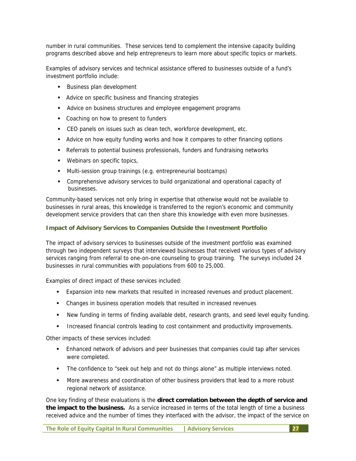number in rural communities. These services tend to complement the intensive capacity building programs described above and help entrepreneurs to learn more about specific topics or markets.

Examples of advisory services and technical assistance offered to businesses outside of a fund's investment portfolio include:

- **Business plan development**
- **Advice on specific business and financing strategies**
- Advice on business structures and employee engagement programs
- Coaching on how to present to funders
- CEO panels on issues such as clean tech, workforce development, etc.
- Advice on how equity funding works and how it compares to other financing options
- **Referrals to potential business professionals, funders and fundraising networks**
- Webinars on specific topics,
- Multi-session group trainings (e.g. entrepreneurial bootcamps)
- Comprehensive advisory services to build organizational and operational capacity of businesses.

Community-based services not only bring in expertise that otherwise would not be available to businesses in rural areas, this knowledge is transferred to the region's economic and community development service providers that can then share this knowledge with even more businesses.

#### **Impact of Advisory Services to Companies Outside the Investment Portfolio**

The impact of advisory services to businesses outside of the investment portfolio was examined through two independent surveys that interviewed businesses that received various types of advisory services ranging from referral to one-on-one counseling to group training. The surveys included 24 businesses in rural communities with populations from 600 to 25,000.

Examples of direct impact of these services included:

- Expansion into new markets that resulted in increased revenues and product placement.
- Changes in business operation models that resulted in increased revenues
- New funding in terms of finding available debt, research grants, and seed level equity funding.
- Increased financial controls leading to cost containment and productivity improvements.

Other impacts of these services included:

- Enhanced network of advisors and peer businesses that companies could tap after services were completed.
- The confidence to "seek out help and not do things alone" as multiple interviews noted.
- **More awareness and coordination of other business providers that lead to a more robust** regional network of assistance.

One key finding of these evaluations is the **direct correlation between the depth of service and the impact to the business.** As a service increased in terms of the total length of time a business received advice and the number of times they interfaced with the advisor, the impact of the service on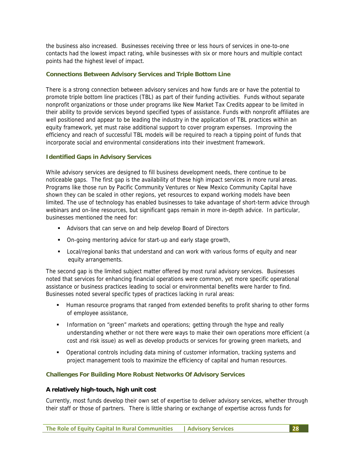the business also increased. Businesses receiving three or less hours of services in one-to-one contacts had the lowest impact rating, while businesses with six or more hours and multiple contact points had the highest level of impact.

#### **Connections Between Advisory Services and Triple Bottom Line**

There is a strong connection between advisory services and how funds are or have the potential to promote triple bottom line practices (TBL) as part of their funding activities. Funds without separate nonprofit organizations or those under programs like New Market Tax Credits appear to be limited in their ability to provide services beyond specified types of assistance. Funds with nonprofit affiliates are well positioned and appear to be leading the industry in the application of TBL practices within an equity framework, yet must raise additional support to cover program expenses. Improving the efficiency and reach of successful TBL models will be required to reach a tipping point of funds that incorporate social and environmental considerations into their investment framework.

#### **Identified Gaps in Advisory Services**

While advisory services are designed to fill business development needs, there continue to be noticeable gaps. The first gap is the availability of these high impact services in more rural areas. Programs like those run by Pacific Community Ventures or New Mexico Community Capital have shown they can be scaled in other regions, yet resources to expand working models have been limited. The use of technology has enabled businesses to take advantage of short-term advice through webinars and on-line resources, but significant gaps remain in more in-depth advice. In particular, businesses mentioned the need for:

- Advisors that can serve on and help develop Board of Directors
- On-going mentoring advice for start-up and early stage growth,
- Local/regional banks that understand and can work with various forms of equity and near equity arrangements.

The second gap is the limited subject matter offered by most rural advisory services. Businesses noted that services for enhancing financial operations were common, yet more specific operational assistance or business practices leading to social or environmental benefits were harder to find. Businesses noted several specific types of practices lacking in rural areas:

- Human resource programs that ranged from extended benefits to profit sharing to other forms of employee assistance,
- Information on "green" markets and operations; getting through the hype and really understanding whether or not there were ways to make their own operations more efficient (a cost and risk issue) as well as develop products or services for growing green markets, and
- Operational controls including data mining of customer information, tracking systems and project management tools to maximize the efficiency of capital and human resources.

#### **Challenges For Building More Robust Networks Of Advisory Services**

#### **A relatively high-touch, high unit cost**

Currently, most funds develop their own set of expertise to deliver advisory services, whether through their staff or those of partners. There is little sharing or exchange of expertise across funds for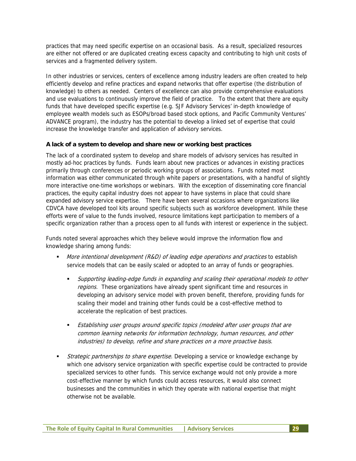practices that may need specific expertise on an occasional basis. As a result, specialized resources are either not offered or are duplicated creating excess capacity and contributing to high unit costs of services and a fragmented delivery system.

In other industries or services, centers of excellence among industry leaders are often created to help efficiently develop and refine practices and expand networks that offer expertise (the distribution of knowledge) to others as needed. Centers of excellence can also provide comprehensive evaluations and use evaluations to continuously improve the field of practice. To the extent that there are equity funds that have developed specific expertise (e.g. SJF Advisory Services' in-depth knowledge of employee wealth models such as ESOPs/broad based stock options, and Pacific Community Ventures' ADVANCE program), the industry has the potential to develop a linked set of expertise that could increase the knowledge transfer and application of advisory services.

#### **A lack of a system to develop and share new or working best practices**

The lack of a coordinated system to develop and share models of advisory services has resulted in mostly ad-hoc practices by funds. Funds learn about new practices or advances in existing practices primarily through conferences or periodic working groups of associations. Funds noted most information was either communicated through white papers or presentations, with a handful of slightly more interactive one-time workshops or webinars. With the exception of disseminating core financial practices, the equity capital industry does not appear to have systems in place that could share expanded advisory service expertise. There have been several occasions where organizations like CDVCA have developed tool kits around specific subjects such as workforce development. While these efforts were of value to the funds involved, resource limitations kept participation to members of a specific organization rather than a process open to all funds with interest or experience in the subject.

Funds noted several approaches which they believe would improve the information flow and knowledge sharing among funds:

- More intentional development (R&D) of leading edge operations and practices to establish service models that can be easily scaled or adopted to an array of funds or geographies.
	- Supporting leading-edge funds in expanding and scaling their operational models to other regions. These organizations have already spent significant time and resources in developing an advisory service model with proven benefit, therefore, providing funds for scaling their model and training other funds could be a cost-effective method to accelerate the replication of best practices.
	- Establishing user groups around specific topics (modeled after user groups that are common learning networks for information technology, human resources, and other industries) to develop, refine and share practices on a more proactive basis.
- Strategic partnerships to share expertise. Developing a service or knowledge exchange by which one advisory service organization with specific expertise could be contracted to provide specialized services to other funds. This service exchange would not only provide a more cost-effective manner by which funds could access resources, it would also connect businesses and the communities in which they operate with national expertise that might otherwise not be available.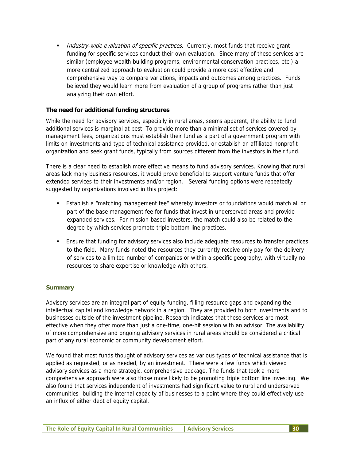Industry-wide evaluation of specific practices. Currently, most funds that receive grant funding for specific services conduct their own evaluation. Since many of these services are similar (employee wealth building programs, environmental conservation practices, etc.) a more centralized approach to evaluation could provide a more cost effective and comprehensive way to compare variations, impacts and outcomes among practices. Funds believed they would learn more from evaluation of a group of programs rather than just analyzing their own effort.

#### **The need for additional funding structures**

While the need for advisory services, especially in rural areas, seems apparent, the ability to fund additional services is marginal at best. To provide more than a minimal set of services covered by management fees, organizations must establish their fund as a part of a government program with limits on investments and type of technical assistance provided, or establish an affiliated nonprofit organization and seek grant funds, typically from sources different from the investors in their fund.

There is a clear need to establish more effective means to fund advisory services. Knowing that rural areas lack many business resources, it would prove beneficial to support venture funds that offer extended services to their investments and/or region. Several funding options were repeatedly suggested by organizations involved in this project:

- Establish a "matching management fee" whereby investors or foundations would match all or part of the base management fee for funds that invest in underserved areas and provide expanded services. For mission-based investors, the match could also be related to the degree by which services promote triple bottom line practices.
- Ensure that funding for advisory services also include adequate resources to transfer practices to the field. Many funds noted the resources they currently receive only pay for the delivery of services to a limited number of companies or within a specific geography, with virtually no resources to share expertise or knowledge with others.

#### **Summary**

Advisory services are an integral part of equity funding, filling resource gaps and expanding the intellectual capital and knowledge network in a region. They are provided to both investments and to businesses outside of the investment pipeline. Research indicates that these services are most effective when they offer more than just a one-time, one-hit session with an advisor. The availability of more comprehensive and ongoing advisory services in rural areas should be considered a critical part of any rural economic or community development effort.

We found that most funds thought of advisory services as various types of technical assistance that is applied as requested, or as needed, by an investment. There were a few funds which viewed advisory services as a more strategic, comprehensive package. The funds that took a more comprehensive approach were also those more likely to be promoting triple bottom line investing. We also found that services independent of investments had significant value to rural and underserved communities--building the internal capacity of businesses to a point where they could effectively use an influx of either debt of equity capital.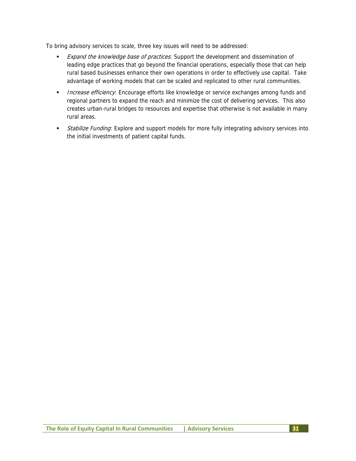To bring advisory services to scale, three key issues will need to be addressed:

- Expand the knowledge base of practices: Support the development and dissemination of leading edge practices that go beyond the financial operations, especially those that can help rural based businesses enhance their own operations in order to effectively use capital. Take advantage of working models that can be scaled and replicated to other rural communities.
- **Increase efficiency:** Encourage efforts like knowledge or service exchanges among funds and regional partners to expand the reach and minimize the cost of delivering services. This also creates urban-rural bridges to resources and expertise that otherwise is not available in many rural areas.
- Stabilize Funding: Explore and support models for more fully integrating advisory services into the initial investments of patient capital funds.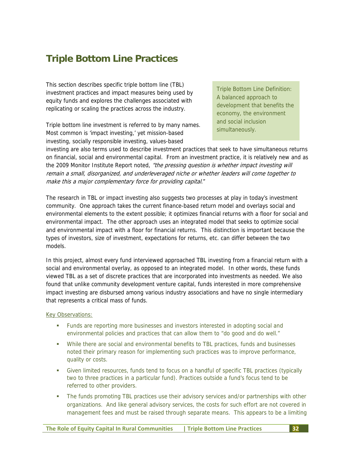# **Triple Bottom Line Practices**

This section describes specific triple bottom line (TBL) investment practices and impact measures being used by equity funds and explores the challenges associated with replicating or scaling the practices across the industry.

Triple bottom line investment is referred to by many names. Most common is 'impact investing,' yet mission-based investing, socially responsible investing, values-based

Triple Bottom Line Definition: A balanced approach to development that benefits the economy, the environment and social inclusion simultaneously.

investing are also terms used to describe investment practices that seek to have simultaneous returns on financial, social and environmental capital. From an investment practice, it is relatively new and as the 2009 Monitor Institute Report noted, *"the pressing question is whether impact investing will* remain a small, disorganized, and underleveraged niche or whether leaders will come together to make this a major complementary force for providing capital."

The research in TBL or impact investing also suggests two processes at play in today's investment community. One approach takes the current finance-based return model and overlays social and environmental elements to the extent possible; it optimizes financial returns with a floor for social and environmental impact. The other approach uses an integrated model that seeks to optimize social and environmental impact with a floor for financial returns. This distinction is important because the types of investors, size of investment, expectations for returns, etc. can differ between the two models.

In this project, almost every fund interviewed approached TBL investing from a financial return with a social and environmental overlay, as opposed to an integrated model. In other words, these funds viewed TBL as a set of discrete practices that are incorporated into investments as needed. We also found that unlike community development venture capital, funds interested in more comprehensive impact investing are disbursed among various industry associations and have no single intermediary that represents a critical mass of funds.

Key Observations:

- Funds are reporting more businesses and investors interested in adopting social and environmental policies and practices that can allow them to "do good and do well."
- While there are social and environmental benefits to TBL practices, funds and businesses noted their primary reason for implementing such practices was to improve performance, quality or costs.
- Given limited resources, funds tend to focus on a handful of specific TBL practices (typically two to three practices in a particular fund). Practices outside a fund's focus tend to be referred to other providers.
- The funds promoting TBL practices use their advisory services and/or partnerships with other organizations. And like general advisory services, the costs for such effort are not covered in management fees and must be raised through separate means. This appears to be a limiting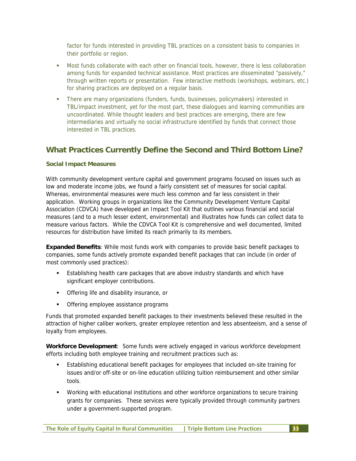factor for funds interested in providing TBL practices on a consistent basis to companies in their portfolio or region.

- Most funds collaborate with each other on financial tools, however, there is less collaboration among funds for expanded technical assistance. Most practices are disseminated "passively," through written reports or presentation. Few interactive methods (workshops, webinars, etc.) for sharing practices are deployed on a regular basis.
- There are many organizations (funders, funds, businesses, policymakers) interested in TBL/impact investment, yet for the most part, these dialogues and learning communities are uncoordinated. While thought leaders and best practices are emerging, there are few intermediaries and virtually no social infrastructure identified by funds that connect those interested in TBL practices.

## **What Practices Currently Define the Second and Third Bottom Line?**

#### **Social Impact Measures**

With community development venture capital and government programs focused on issues such as low and moderate income jobs, we found a fairly consistent set of measures for social capital. Whereas, environmental measures were much less common and far less consistent in their application. Working groups in organizations like the Community Development Venture Capital Association (CDVCA) have developed an Impact Tool Kit that outlines various financial and social measures (and to a much lesser extent, environmental) and illustrates how funds can collect data to measure various factors. While the CDVCA Tool Kit is comprehensive and well documented, limited resources for distribution have limited its reach primarily to its members.

**Expanded Benefits**: While most funds work with companies to provide basic benefit packages to companies, some funds actively promote expanded benefit packages that can include (in order of most commonly used practices):

- Establishing health care packages that are above industry standards and which have significant employer contributions.
- Offering life and disability insurance, or
- Offering employee assistance programs

Funds that promoted expanded benefit packages to their investments believed these resulted in the attraction of higher caliber workers, greater employee retention and less absenteeism, and a sense of loyalty from employees.

**Workforce Development**: Some funds were actively engaged in various workforce development efforts including both employee training and recruitment practices such as:

- Establishing educational benefit packages for employees that included on-site training for issues and/or off-site or on-line education utilizing tuition reimbursement and other similar tools.
- Working with educational institutions and other workforce organizations to secure training grants for companies. These services were typically provided through community partners under a government-supported program.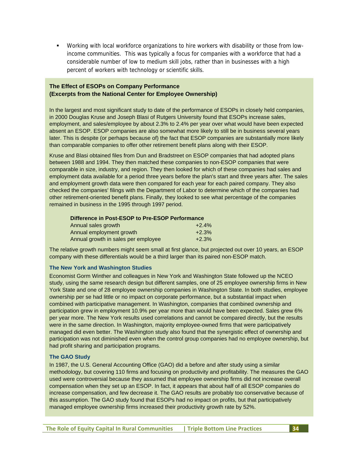Working with local workforce organizations to hire workers with disability or those from lowincome communities. This was typically a focus for companies with a workforce that had a considerable number of low to medium skill jobs, rather than in businesses with a high percent of workers with technology or scientific skills.

#### **The Effect of ESOPs on Company Performance (Excerpts from the National Center for Employee Ownership)**

In the largest and most significant study to date of the performance of ESOPs in closely held companies, in 2000 Douglas Kruse and Joseph Blasi of Rutgers University found that ESOPs increase sales, employment, and sales/employee by about 2.3% to 2.4% per year over what would have been expected absent an ESOP. ESOP companies are also somewhat more likely to still be in business several years later. This is despite (or perhaps because of) the fact that ESOP companies are substantially more likely than comparable companies to offer other retirement benefit plans along with their ESOP.

Kruse and Blasi obtained files from Dun and Bradstreet on ESOP companies that had adopted plans between 1988 and 1994. They then matched these companies to non-ESOP companies that were comparable in size, industry, and region. They then looked for which of these companies had sales and employment data available for a period three years before the plan's start and three years after. The sales and employment growth data were then compared for each year for each paired company. They also checked the companies' filings with the Department of Labor to determine which of the companies had other retirement-oriented benefit plans. Finally, they looked to see what percentage of the companies remained in business in the 1995 through 1997 period.

| Difference in Post-ESOP to Pre-ESOP Performance |          |
|-------------------------------------------------|----------|
| Annual sales growth                             | $+2.4\%$ |

| Alliludi Sales yruwuli              | TZ.470  |
|-------------------------------------|---------|
| Annual employment growth            | $+2.3%$ |
| Annual growth in sales per employee | $+2.3%$ |

The relative growth numbers might seem small at first glance, but projected out over 10 years, an ESOP company with these differentials would be a third larger than its paired non-ESOP match.

#### **The New York and Washington Studies**

Economist Gorm Winther and colleagues in New York and Washington State followed up the NCEO study, using the same research design but different samples, one of 25 employee ownership firms in New York State and one of 28 employee ownership companies in Washington State. In both studies, employee ownership per se had little or no impact on corporate performance, but a substantial impact when combined with participative management. In Washington, companies that combined ownership and participation grew in employment 10.9% per year more than would have been expected. Sales grew 6% per year more. The New York results used correlations and cannot be compared directly, but the results were in the same direction. In Washington, majority employee-owned firms that were participatively managed did even better. The Washington study also found that the synergistic effect of ownership and participation was not diminished even when the control group companies had no employee ownership, but had profit sharing and participation programs.

#### **The GAO Study**

In 1987, the U.S. General Accounting Office (GAO) did a before and after study using a similar methodology, but covering 110 firms and focusing on productivity and profitability. The measures the GAO used were controversial because they assumed that employee ownership firms did not increase overall compensation when they set up an ESOP. In fact, it appears that about half of all ESOP companies do increase compensation, and few decrease it. The GAO results are probably too conservative because of this assumption. The GAO study found that ESOPs had no impact on profits, but that participatively managed employee ownership firms increased their productivity growth rate by 52%.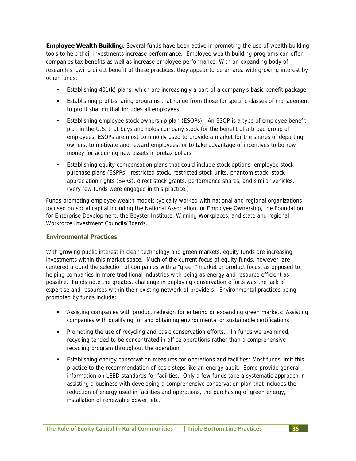**Employee Wealth Building**: Several funds have been active in promoting the use of wealth building tools to help their investments increase performance. Employee wealth building programs can offer companies tax benefits as well as increase employee performance. With an expanding body of research showing direct benefit of these practices, they appear to be an area with growing interest by other funds:

- **Establishing 401(k) plans, which are increasingly a part of a company's basic benefit package.**
- Establishing profit-sharing programs that range from those for specific classes of management to profit sharing that includes all employees.
- Establishing employee stock ownership plan (ESOPs). An ESOP is a type of employee benefit plan in the U.S. that buys and holds company stock for the benefit of a broad group of employees. ESOPs are most commonly used to provide a market for the shares of departing owners, to motivate and reward employees, or to take advantage of incentives to borrow money for acquiring new assets in pretax dollars.
- Establishing equity compensation plans that could include stock options, employee stock purchase plans (ESPPs), restricted stock, restricted stock units, phantom stock, stock appreciation rights (SARs), direct stock grants, performance shares, and similar vehicles. (Very few funds were engaged in this practice.)

Funds promoting employee wealth models typically worked with national and regional organizations focused on social capital including the National Association for Employee Ownership, the Foundation for Enterprise Development, the Beyster Institute, Winning Workplaces, and state and regional Workforce Investment Councils/Boards.

# **Environmental Practices**

With growing public interest in clean technology and green markets, equity funds are increasing investments within this market space. Much of the current focus of equity funds, however, are centered around the selection of companies with a "green" market or product focus, as opposed to helping companies in more traditional industries with being as energy and resource efficient as possible. Funds note the greatest challenge in deploying conservation efforts was the lack of expertise and resources within their existing network of providers. Environmental practices being promoted by funds include:

- Assisting companies with product redesign for entering or expanding green markets: Assisting companies with qualifying for and obtaining environmental or sustainable certifications
- Promoting the use of recycling and basic conservation efforts. In funds we examined, recycling tended to be concentrated in office operations rather than a comprehensive recycling program throughout the operation.
- Establishing energy conservation measures for operations and facilities: Most funds limit this practice to the recommendation of basic steps like an energy audit. Some provide general information on LEED standards for facilities. Only a few funds take a systematic approach in assisting a business with developing a comprehensive conservation plan that includes the reduction of energy used in facilities and operations, the purchasing of green energy, installation of renewable power, etc.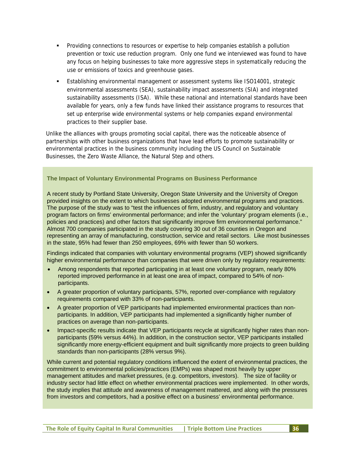- Providing connections to resources or expertise to help companies establish a pollution prevention or toxic use reduction program. Only one fund we interviewed was found to have any focus on helping businesses to take more aggressive steps in systematically reducing the use or emissions of toxics and greenhouse gases.
- Establishing environmental management or assessment systems like ISO14001, strategic environmental assessments (SEA), sustainability impact assessments (SIA) and integrated sustainability assessments (ISA). While these national and international standards have been available for years, only a few funds have linked their assistance programs to resources that set up enterprise wide environmental systems or help companies expand environmental practices to their supplier base.

Unlike the alliances with groups promoting social capital, there was the noticeable absence of partnerships with other business organizations that have lead efforts to promote sustainability or environmental practices in the business community including the US Council on Sustainable Businesses, the Zero Waste Alliance, the Natural Step and others.

#### **The Impact of Voluntary Environmental Programs on Business Performance**

A recent study by Portland State University, Oregon State University and the University of Oregon provided insights on the extent to which businesses adopted environmental programs and practices. The purpose of the study was to "test the influences of firm, industry, and regulatory and voluntary program factors on firms' environmental performance; and infer the 'voluntary' program elements (i.e., policies and practices) and other factors that significantly improve firm environmental performance." Almost 700 companies participated in the study covering 30 out of 36 counties in Oregon and representing an array of manufacturing, construction, service and retail sectors. Like most businesses in the state, 95% had fewer than 250 employees, 69% with fewer than 50 workers.

Findings indicated that companies with voluntary environmental programs (VEP) showed significantly higher environmental performance than companies that were driven only by regulatory requirements:

- Among respondents that reported participating in at least one voluntary program, nearly 80% reported improved performance in at least one area of impact, compared to 54% of nonparticipants.
- A greater proportion of voluntary participants, 57%, reported over-compliance with regulatory requirements compared with 33% of non-participants.
- A greater proportion of VEP participants had implemented environmental practices than nonparticipants. In addition, VEP participants had implemented a significantly higher number of practices on average than non-participants.
- Impact-specific results indicate that VEP participants recycle at significantly higher rates than nonparticipants (59% versus 44%). In addition, in the construction sector, VEP participants installed significantly more energy-efficient equipment and built significantly more projects to green building standards than non-participants (28% versus 9%).

While current and potential regulatory conditions influenced the extent of environmental practices, the commitment to environmental policies/practices (EMPs) was shaped most heavily by upper management attitudes and market pressures, (e.g. competitors, investors). The size of facility or industry sector had little effect on whether environmental practices were implemented. In other words, the study implies that attitude and awareness of management mattered, and along with the pressures from investors and competitors, had a positive effect on a business' environmental performance.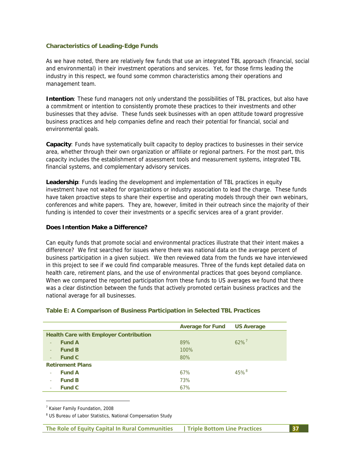#### **Characteristics of Leading-Edge Funds**

As we have noted, there are relatively few funds that use an integrated TBL approach (financial, social and environmental) in their investment operations and services. Yet, for those firms leading the industry in this respect, we found some common characteristics among their operations and management team.

**Intention**: These fund managers not only understand the possibilities of TBL practices, but also have a commitment or intention to consistently promote these practices to their investments and other businesses that they advise. These funds seek businesses with an open attitude toward progressive business practices and help companies define and reach their potential for financial, social and environmental goals.

**Capacity**: Funds have systematically built capacity to deploy practices to businesses in their service area, whether through their own organization or affiliate or regional partners. For the most part, this capacity includes the establishment of assessment tools and measurement systems, integrated TBL financial systems, and complementary advisory services.

**Leadership**: Funds leading the development and implementation of TBL practices in equity investment have not waited for organizations or industry association to lead the charge. These funds have taken proactive steps to share their expertise and operating models through their own webinars, conferences and white papers. They are, however, limited in their outreach since the majority of their funding is intended to cover their investments or a specific services area of a grant provider.

#### **Does Intention Make a Difference?**

Can equity funds that promote social and environmental practices illustrate that their intent makes a difference? We first searched for issues where there was national data on the average percent of business participation in a given subject. We then reviewed data from the funds we have interviewed in this project to see if we could find comparable measures. Three of the funds kept detailed data on health care, retirement plans, and the use of environmental practices that goes beyond compliance. When we compared the reported participation from these funds to US averages we found that there was a clear distinction between the funds that actively promoted certain business practices and the national average for all businesses.

> 100% 80%

67% 73% 67% 45%<sup>8</sup>

|                                               | Average for Fund US Average |        |
|-----------------------------------------------|-----------------------------|--------|
| <b>Health Care with Employer Contribution</b> |                             |        |
| <b>Fund A</b>                                 | 89%                         | $62\%$ |
| <b>Fund B</b><br>$\sim$ $^{\circ}$            | 100%                        |        |

#### **Table E: A Comparison of Business Participation in Selected TBL Practices**

<sup>7</sup> Kaiser Family Foundation, 2008

‐ **Fund C** 

**Retirement Plans**  ‐ **Fund A**  ‐ **Fund B**  ‐ **Fund C** 

-

<sup>8</sup> US Bureau of Labor Statistics, National Compensation Study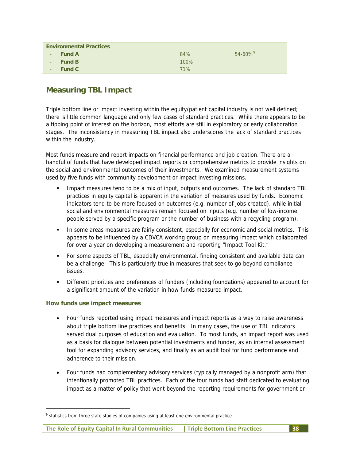|          | <b>Environmental Practices</b> |      |                          |
|----------|--------------------------------|------|--------------------------|
| $\sim$ . | <b>Fund A</b>                  | 84%  | $54 - 60\%$ <sup>9</sup> |
| $\sim$ . | <b>Fund B</b>                  | 100% |                          |
| $\sim$   | <b>Fund C</b>                  | 71%  |                          |

# **Measuring TBL Impact**

Triple bottom line or impact investing within the equity/patient capital industry is not well defined; there is little common language and only few cases of standard practices. While there appears to be a tipping point of interest on the horizon, most efforts are still in exploratory or early collaboration stages. The inconsistency in measuring TBL impact also underscores the lack of standard practices within the industry.

Most funds measure and report impacts on financial performance and job creation. There are a handful of funds that have developed impact reports or comprehensive metrics to provide insights on the social and environmental outcomes of their investments. We examined measurement systems used by five funds with community development or impact investing missions.

- Impact measures tend to be a mix of input, outputs and outcomes. The lack of standard TBL practices in equity capital is apparent in the variation of measures used by funds. Economic indicators tend to be more focused on outcomes (e.g. number of jobs created), while initial social and environmental measures remain focused on inputs (e.g. number of low-income people served by a specific program or the number of business with a recycling program).
- In some areas measures are fairly consistent, especially for economic and social metrics. This appears to be influenced by a CDVCA working group on measuring impact which collaborated for over a year on developing a measurement and reporting "Impact Tool Kit."
- For some aspects of TBL, especially environmental, finding consistent and available data can be a challenge. This is particularly true in measures that seek to go beyond compliance issues.
- Different priorities and preferences of funders (including foundations) appeared to account for a significant amount of the variation in how funds measured impact.

#### **How funds use impact measures**

-

- Four funds reported using impact measures and impact reports as a way to raise awareness about triple bottom line practices and benefits. In many cases, the use of TBL indicators served dual purposes of education and evaluation. To most funds, an impact report was used as a basis for dialogue between potential investments and funder, as an internal assessment tool for expanding advisory services, and finally as an audit tool for fund performance and adherence to their mission.
- Four funds had complementary advisory services (typically managed by a nonprofit arm) that intentionally promoted TBL practices. Each of the four funds had staff dedicated to evaluating impact as a matter of policy that went beyond the reporting requirements for government or

<sup>&</sup>lt;sup>9</sup> statistics from three state studies of companies using at least one environmental practice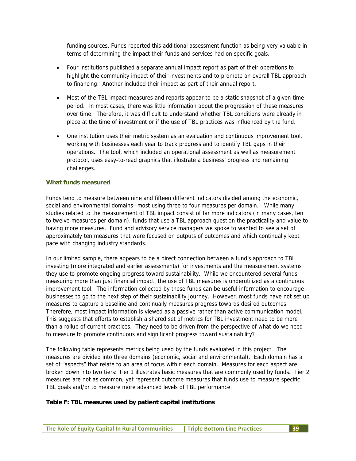funding sources. Funds reported this additional assessment function as being very valuable in terms of determining the impact their funds and services had on specific goals.

- Four institutions published a separate annual impact report as part of their operations to highlight the community impact of their investments and to promote an overall TBL approach to financing. Another included their impact as part of their annual report.
- Most of the TBL impact measures and reports appear to be a static snapshot of a given time period. In most cases, there was little information about the progression of these measures over time. Therefore, it was difficult to understand whether TBL conditions were already in place at the time of investment or if the use of TBL practices was influenced by the fund.
- One institution uses their metric system as an evaluation and continuous improvement tool, working with businesses each year to track progress and to identify TBL gaps in their operations. The tool, which included an operational assessment as well as measurement protocol, uses easy-to-read graphics that illustrate a business' progress and remaining challenges.

#### **What funds measured**

Funds tend to measure between nine and fifteen different indicators divided among the economic, social and environmental domains--most using three to four measures per domain. While many studies related to the measurement of TBL impact consist of far more indicators (in many cases, ten to twelve measures per domain), funds that use a TBL approach question the practicality and value to having more measures. Fund and advisory service managers we spoke to wanted to see a set of approximately ten measures that were focused on outputs of outcomes and which continually kept pace with changing industry standards.

In our limited sample, there appears to be a direct connection between a fund's approach to TBL investing (more integrated and earlier assessments) for investments and the measurement systems they use to promote ongoing progress toward sustainability. While we encountered several funds measuring more than just financial impact, the use of TBL measures is underutilized as a continuous improvement tool. The information collected by these funds can be useful information to encourage businesses to go to the next step of their sustainability journey. However, most funds have not set up measures to capture a baseline and continually measures progress towards desired outcomes. Therefore, most impact information is viewed as a passive rather than active communication model. This suggests that efforts to establish a shared set of metrics for TBL investment need to be more than a rollup of current practices. They need to be driven from the perspective of what do we need to measure to promote continuous and significant progress toward sustainability?

The following table represents metrics being used by the funds evaluated in this project. The measures are divided into three domains (economic, social and environmental). Each domain has a set of "aspects" that relate to an area of focus within each domain. Measures for each aspect are broken down into two tiers: Tier 1 illustrates basic measures that are commonly used by funds. Tier 2 measures are not as common, yet represent outcome measures that funds use to measure specific TBL goals and/or to measure more advanced levels of TBL performance.

#### **Table F: TBL measures used by patient capital institutions**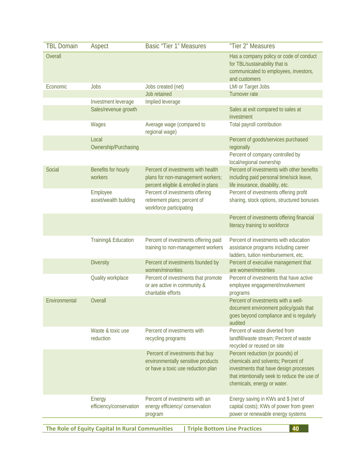| <b>TBL Domain</b>                                                                            | Aspect                            | <b>Basic "Tier 1" Measures</b>                                                                                  | "Tier 2" Measures                                                                                                                                                                               |
|----------------------------------------------------------------------------------------------|-----------------------------------|-----------------------------------------------------------------------------------------------------------------|-------------------------------------------------------------------------------------------------------------------------------------------------------------------------------------------------|
| Overall                                                                                      |                                   |                                                                                                                 | Has a company policy or code of conduct<br>for TBL/sustainability that is<br>communicated to employees, investors,<br>and customers                                                             |
| Economic                                                                                     | Jobs                              | Jobs created (net)<br>Job retained                                                                              | <b>LMI or Target Jobs</b><br>Turnover rate                                                                                                                                                      |
|                                                                                              | Investment leverage               | Implied leverage                                                                                                |                                                                                                                                                                                                 |
|                                                                                              | Sales/revenue growth              |                                                                                                                 | Sales at exit compared to sales at<br>investment                                                                                                                                                |
|                                                                                              | Wages                             | Average wage (compared to<br>regional wage)                                                                     | Total payroll contribution                                                                                                                                                                      |
|                                                                                              | Local<br>Ownership/Purchasing     |                                                                                                                 | Percent of goods/services purchased<br>regionally                                                                                                                                               |
|                                                                                              |                                   |                                                                                                                 | Percent of company controlled by<br>local/regional ownership                                                                                                                                    |
| Social                                                                                       | Benefits for hourly<br>workers    | Percent of investments with health<br>plans for non-management workers;<br>percent eligible & enrolled in plans | Percent of investments with other benefits<br>including paid personal time/sick leave,<br>life insurance, disability, etc.                                                                      |
|                                                                                              | Employee<br>asset/wealth building | Percent of investments offering<br>retirement plans; percent of<br>workforce participating                      | Percent of investments offering profit<br>sharing, stock options, structured bonuses                                                                                                            |
|                                                                                              |                                   |                                                                                                                 | Percent of investments offering financial<br>literacy training to workforce                                                                                                                     |
|                                                                                              | Training& Education               | Percent of investments offering paid<br>training to non-management workers                                      | Percent of investments with education<br>assistance programs including career<br>ladders, tuition reimbursement, etc.                                                                           |
|                                                                                              | <b>Diversity</b>                  | Percent of investments founded by<br>women/minorities                                                           | Percent of executive management that<br>are women/minorities                                                                                                                                    |
|                                                                                              | Quality workplace                 | Percent of investments that promote<br>or are active in community &<br>charitable efforts                       | Percent of investments that have active<br>employee engagement/involvement<br>programs                                                                                                          |
| Environmental                                                                                | Overall                           |                                                                                                                 | Percent of investments with a well-<br>document environment policy/goals that<br>goes beyond compliance and is regularly<br>audited                                                             |
|                                                                                              | Waste & toxic use<br>reduction    | Percent of investments with<br>recycling programs                                                               | Percent of waste diverted from<br>landfill/waste stream; Percent of waste<br>recycled or reused on site                                                                                         |
|                                                                                              |                                   | Percent of investments that buy<br>environmentally sensitive products<br>or have a toxic use reduction plan     | Percent reduction (or pounds) of<br>chemicals and solvents; Percent of<br>investments that have design processes<br>that intentionally seek to reduce the use of<br>chemicals, energy or water. |
|                                                                                              | Energy<br>efficiency/conservation | Percent of investments with an<br>energy efficiency/ conservation<br>program                                    | Energy saving in KWs and \$ (net of<br>capital costs); KWs of power from green<br>power or renewable energy systems                                                                             |
| The Role of Equity Capital In Rural Communities<br><b>Triple Bottom Line Practices</b><br>40 |                                   |                                                                                                                 |                                                                                                                                                                                                 |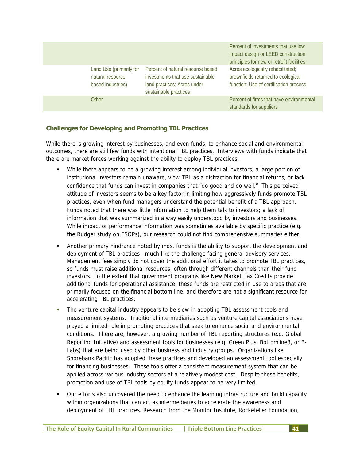|                                                                  |                                                                                                                               | Percent of investments that use low<br>impact design or LEED construction<br>principles for new or retrofit facilities |
|------------------------------------------------------------------|-------------------------------------------------------------------------------------------------------------------------------|------------------------------------------------------------------------------------------------------------------------|
| Land Use (primarily for<br>natural resource<br>based industries) | Percent of natural resource based<br>investments that use sustainable<br>land practices; Acres under<br>sustainable practices | Acres ecologically rehabilitated;<br>brownfields returned to ecological<br>function; Use of certification process      |
| Other                                                            |                                                                                                                               | Percent of firms that have environmental<br>standards for suppliers                                                    |

## **Challenges for Developing and Promoting TBL Practices**

While there is growing interest by businesses, and even funds, to enhance social and environmental outcomes, there are still few funds with intentional TBL practices. Interviews with funds indicate that there are market forces working against the ability to deploy TBL practices.

- While there appears to be a growing interest among individual investors, a large portion of institutional investors remain unaware, view TBL as a distraction for financial returns, or lack confidence that funds can invest in companies that "do good and do well." This perceived attitude of investors seems to be a key factor in limiting how aggressively funds promote TBL practices, even when fund managers understand the potential benefit of a TBL approach. Funds noted that there was little information to help them talk to investors; a lack of information that was summarized in a way easily understood by investors and businesses. While impact or performance information was sometimes available by specific practice (e.g. the Rudger study on ESOPs), our research could not find comprehensive summaries either.
- Another primary hindrance noted by most funds is the ability to support the development and deployment of TBL practices—much like the challenge facing general advisory services. Management fees simply do not cover the additional effort it takes to promote TBL practices, so funds must raise additional resources, often through different channels than their fund investors. To the extent that government programs like New Market Tax Credits provide additional funds for operational assistance, these funds are restricted in use to areas that are primarily focused on the financial bottom line, and therefore are not a significant resource for accelerating TBL practices.
- The venture capital industry appears to be slow in adopting TBL assessment tools and measurement systems. Traditional intermediaries such as venture capital associations have played a limited role in promoting practices that seek to enhance social and environmental conditions. There are, however, a growing number of TBL reporting structures (e.g. Global Reporting Initiative) and assessment tools for businesses (e.g. Green Plus, Bottomline3, or B-Labs) that are being used by other business and industry groups. Organizations like Shorebank Pacific has adopted these practices and developed an assessment tool especially for financing businesses. These tools offer a consistent measurement system that can be applied across various industry sectors at a relatively modest cost. Despite these benefits, promotion and use of TBL tools by equity funds appear to be very limited.
- Our efforts also uncovered the need to enhance the learning infrastructure and build capacity within organizations that can act as intermediaries to accelerate the awareness and deployment of TBL practices. Research from the Monitor Institute, Rockefeller Foundation,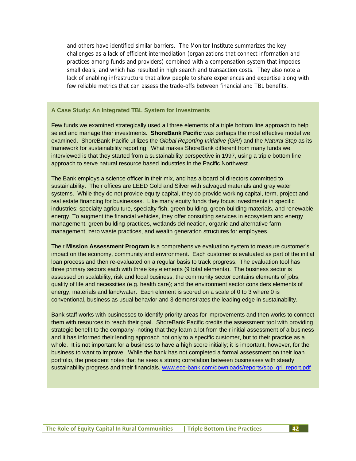and others have identified similar barriers. The Monitor Institute summarizes the key challenges as a lack of efficient intermediation (organizations that connect information and practices among funds and providers) combined with a compensation system that impedes small deals, and which has resulted in high search and transaction costs. They also note a lack of enabling infrastructure that allow people to share experiences and expertise along with few reliable metrics that can assess the trade-offs between financial and TBL benefits.

#### **A Case Study: An Integrated TBL System for Investments**

Few funds we examined strategically used all three elements of a triple bottom line approach to help select and manage their investments. **ShoreBank Pacific** was perhaps the most effective model we examined. ShoreBank Pacific utilizes the *Global Reporting Initiative (GRI*) and the *Natural Step* as its framework for sustainability reporting. What makes ShoreBank different from many funds we interviewed is that they started from a sustainability perspective in 1997, using a triple bottom line approach to serve natural resource based industries in the Pacific Northwest.

The Bank employs a science officer in their mix, and has a board of directors committed to sustainability. Their offices are LEED Gold and Silver with salvaged materials and gray water systems. While they do not provide equity capital, they do provide working capital, term, project and real estate financing for businesses. Like many equity funds they focus investments in specific industries: specialty agriculture, specialty fish, green building, green building materials, and renewable energy. To augment the financial vehicles, they offer consulting services in ecosystem and energy management, green building practices, wetlands delineation, organic and alternative farm management, zero waste practices, and wealth generation structures for employees.

Their **Mission Assessment Program** is a comprehensive evaluation system to measure customer's impact on the economy, community and environment. Each customer is evaluated as part of the initial loan process and then re-evaluated on a regular basis to track progress. The evaluation tool has three primary sectors each with three key elements (9 total elements). The business sector is assessed on scalability, risk and local business; the community sector contains elements of jobs, quality of life and necessities (e.g. health care); and the environment sector considers elements of energy, materials and land/water. Each element is scored on a scale of 0 to 3 where 0 is conventional, business as usual behavior and 3 demonstrates the leading edge in sustainability.

Bank staff works with businesses to identify priority areas for improvements and then works to connect them with resources to reach their goal. ShoreBank Pacific credits the assessment tool with providing strategic benefit to the company--noting that they learn a lot from their initial assessment of a business and it has informed their lending approach not only to a specific customer, but to their practice as a whole. It is not important for a business to have a high score initially; it is important, however, for the business to want to improve. While the bank has not completed a formal assessment on their loan portfolio, the president notes that he sees a strong correlation between businesses with steady sustainability progress and their financials. www.eco-bank.com/downloads/reports/sbp\_gri\_report.pdf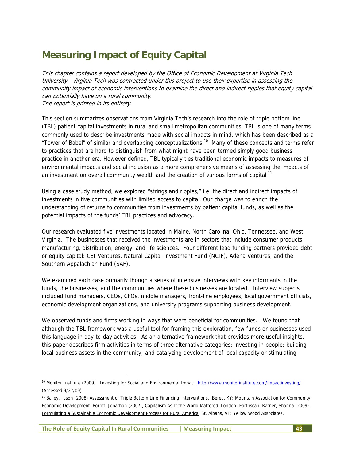# **Measuring Impact of Equity Capital**

This chapter contains a report developed by the Office of Economic Development at Virginia Tech University. Virginia Tech was contracted under this project to use their expertise in assessing the community impact of economic interventions to examine the direct and indirect ripples that equity capital can potentially have on a rural community. The report is printed in its entirety.

This section summarizes observations from Virginia Tech's research into the role of triple bottom line (TBL) patient capital investments in rural and small metropolitan communities. TBL is one of many terms commonly used to describe investments made with social impacts in mind, which has been described as a "Tower of Babel" of similar and overlapping conceptualizations.10 Many of these concepts and terms refer to practices that are hard to distinguish from what might have been termed simply good business practice in another era. However defined, TBL typically ties traditional economic impacts to measures of environmental impacts and social inclusion as a more comprehensive means of assessing the impacts of an investment on overall community wealth and the creation of various forms of capital.<sup>11</sup>

Using a case study method, we explored "strings and ripples," i.e. the direct and indirect impacts of investments in five communities with limited access to capital. Our charge was to enrich the understanding of returns to communities from investments by patient capital funds, as well as the potential impacts of the funds' TBL practices and advocacy.

Our research evaluated five investments located in Maine, North Carolina, Ohio, Tennessee, and West Virginia. The businesses that received the investments are in sectors that include consumer products manufacturing, distribution, energy, and life sciences. Four different lead funding partners provided debt or equity capital: CEI Ventures, Natural Capital Investment Fund (NCIF), Adena Ventures, and the Southern Appalachian Fund (SAF).

We examined each case primarily though a series of intensive interviews with key informants in the funds, the businesses, and the communities where these businesses are located. Interview subjects included fund managers, CEOs, CFOs, middle managers, front-line employees, local government officials, economic development organizations, and university programs supporting business development.

We observed funds and firms working in ways that were beneficial for communities. We found that although the TBL framework was a useful tool for framing this exploration, few funds or businesses used this language in day-to-day activities. As an alternative framework that provides more useful insights, this paper describes firm activities in terms of three alternative categories: investing in people; building local business assets in the community; and catalyzing development of local capacity or stimulating

-

<sup>&</sup>lt;sup>10</sup> Monitor Institute (2009). Investing for Social and Environmental Impact. http://www.monitorinstitute.com/impactinvesting/ (Accessed 9/27/09).

<sup>&</sup>lt;sup>11</sup> Bailey, Jason (2008) Assessment of Triple Bottom Line Financing Interventions. Berea, KY: Mountain Association for Community Economic Development. Porritt, Jonathon (2007), Capitalism As If the World Mattered. London: Earthscan. Ratner, Shanna (2009). Formulating a Sustainable Economic Development Process for Rural America. St. Albans, VT: Yellow Wood Associates.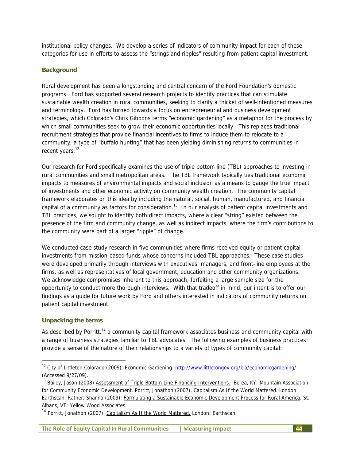institutional policy changes. We develop a series of indicators of community impact for each of these categories for use in efforts to assess the "strings and ripples" resulting from patient capital investment.

#### **Background**

Rural development has been a longstanding and central concern of the Ford Foundation's domestic programs. Ford has supported several research projects to identify practices that can stimulate sustainable wealth creation in rural communities, seeking to clarify a thicket of well-intentioned measures and terminology. Ford has turned towards a focus on entrepreneurial and business development strategies, which Colorado's Chris Gibbons terms "economic gardening" as a metaphor for the process by which small communities seek to grow their economic opportunities locally. This replaces traditional recruitment strategies that provide financial incentives to firms to induce them to relocate to a community, a type of "buffalo hunting" that has been yielding diminishing returns to communities in recent years.<sup>12</sup>

Our research for Ford specifically examines the use of triple bottom line (TBL) approaches to investing in rural communities and small metropolitan areas. The TBL framework typically ties traditional economic impacts to measures of environmental impacts and social inclusion as a means to gauge the true impact of investments and other economic activity on community wealth creation. The community capital framework elaborates on this idea by including the natural, social, human, manufactured, and financial capital of a community as factors for consideration.<sup>13</sup> In our analysis of patient capital investments and TBL practices, we sought to identify both direct impacts, where a clear "string" existed between the presence of the firm and community change, as well as indirect impacts, where the firm's contributions to the community were part of a larger "ripple" of change.

We conducted case study research in five communities where firms received equity or patient capital investments from mission-based funds whose concerns included TBL approaches. These case studies were developed primarily through interviews with executives, managers, and front-line employees at the firms, as well as representatives of local government, education and other community organizations. We acknowledge compromises inherent to this approach, forfeiting a large sample size for the opportunity to conduct more thorough interviews. With that tradeoff in mind, our intent is to offer our findings as a guide for future work by Ford and others interested in indicators of community returns on patient capital investment.

#### **Unpacking the terms**

-

As described by Porritt,<sup>14</sup> a community capital framework associates business and community capital with a range of business strategies familiar to TBL advocates. The following examples of business practices provide a sense of the nature of their relationships to a variety of types of community capital:

<sup>&</sup>lt;sup>12</sup> City of Littleton Colorado (2009). Economic Gardening. http://www.littletongov.org/bia/economicgardening/ (Accessed 9/27/09).

<sup>&</sup>lt;sup>13</sup> Bailey, Jason (2008) Assessment of Triple Bottom Line Financing Interventions. Berea, KY: Mountain Association for Community Economic Development. Porritt, Jonathon (2007), Capitalism As If the World Mattered. London: Earthscan. Ratner, Shanna (2009). Formulating a Sustainable Economic Development Process for Rural America. St. Albans, VT: Yellow Wood Associates.

<sup>&</sup>lt;sup>14</sup> Porritt, Jonathon (2007), Capitalism As If the World Mattered. London: Earthscan.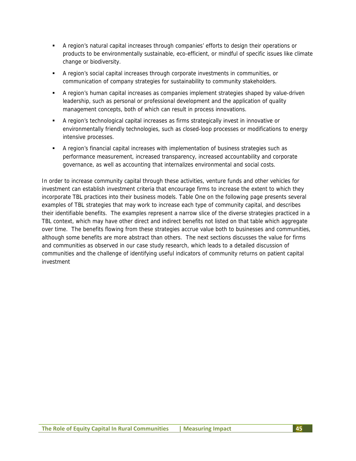- A region's natural capital increases through companies' efforts to design their operations or products to be environmentally sustainable, eco-efficient, or mindful of specific issues like climate change or biodiversity.
- A region's social capital increases through corporate investments in communities, or communication of company strategies for sustainability to community stakeholders.
- A region's human capital increases as companies implement strategies shaped by value-driven leadership, such as personal or professional development and the application of quality management concepts, both of which can result in process innovations.
- A region's technological capital increases as firms strategically invest in innovative or environmentally friendly technologies, such as closed-loop processes or modifications to energy intensive processes.
- A region's financial capital increases with implementation of business strategies such as performance measurement, increased transparency, increased accountability and corporate governance, as well as accounting that internalizes environmental and social costs.

In order to increase community capital through these activities, venture funds and other vehicles for investment can establish investment criteria that encourage firms to increase the extent to which they incorporate TBL practices into their business models. Table One on the following page presents several examples of TBL strategies that may work to increase each type of community capital, and describes their identifiable benefits. The examples represent a narrow slice of the diverse strategies practiced in a TBL context, which may have other direct and indirect benefits not listed on that table which aggregate over time. The benefits flowing from these strategies accrue value both to businesses and communities, although some benefits are more abstract than others. The next sections discusses the value for firms and communities as observed in our case study research, which leads to a detailed discussion of communities and the challenge of identifying useful indicators of community returns on patient capital investment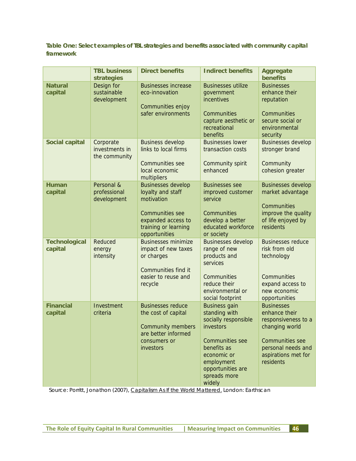**Table One: Select examples of TBL strategies and benefits associated with community capital framework** 

|                                 | <b>TBL business</b><br>strategies            | <b>Direct benefits</b>                                                                                                                                | <b>Indirect benefits</b>                                                                                                                                                                        | <b>Aggregate</b><br><b>benefits</b>                                                                                                                             |
|---------------------------------|----------------------------------------------|-------------------------------------------------------------------------------------------------------------------------------------------------------|-------------------------------------------------------------------------------------------------------------------------------------------------------------------------------------------------|-----------------------------------------------------------------------------------------------------------------------------------------------------------------|
| <b>Natural</b><br>capital       | Design for<br>sustainable<br>development     | <b>Businesses increase</b><br>eco-innovation<br>Communities enjoy<br>safer environments                                                               | <b>Businesses utilize</b><br>government<br>incentives<br>Communities<br>capture aesthetic or<br>recreational<br>benefits                                                                        | <b>Businesses</b><br>enhance their<br>reputation<br>Communities<br>secure social or<br>environmental<br>security                                                |
| <b>Social capital</b>           | Corporate<br>investments in<br>the community | <b>Business develop</b><br>links to local firms<br><b>Communities see</b><br>local economic<br>multipliers                                            | <b>Businesses lower</b><br>transaction costs<br>Community spirit<br>enhanced                                                                                                                    | <b>Businesses develop</b><br>stronger brand<br>Community<br>cohesion greater                                                                                    |
| <b>Human</b><br>capital         | Personal &<br>professional<br>development    | <b>Businesses develop</b><br>loyalty and staff<br>motivation<br><b>Communities see</b><br>expanded access to<br>training or learning<br>opportunities | <b>Businesses see</b><br>improved customer<br>service<br>Communities<br>develop a better<br>educated workforce<br>or society                                                                    | <b>Businesses develop</b><br>market advantage<br>Communities<br>improve the quality<br>of life enjoyed by<br>residents                                          |
| <b>Technological</b><br>capital | Reduced<br>energy<br>intensity               | <b>Businesses minimize</b><br>impact of new taxes<br>or charges<br><b>Communities find it</b><br>easier to reuse and<br>recycle                       | <b>Businesses develop</b><br>range of new<br>products and<br>services<br>Communities<br>reduce their<br>environmental or<br>social footprint                                                    | <b>Businesses reduce</b><br>risk from old<br>technology<br>Communities<br>expand access to<br>new economic<br>opportunities                                     |
| <b>Financial</b><br>capital     | Investment<br>criteria                       | <b>Businesses reduce</b><br>the cost of capital<br><b>Community members</b><br>are better informed<br>consumers or<br>investors                       | <b>Business gain</b><br>standing with<br>socially responsible<br>investors<br><b>Communities see</b><br>benefits as<br>economic or<br>employment<br>opportunities are<br>spreads more<br>widely | <b>Businesses</b><br>enhance their<br>responsiveness to a<br>changing world<br><b>Communities see</b><br>personal needs and<br>aspirations met for<br>residents |

Source: Porritt, Jonathon (2007), Capitalism As If the World Mattered. London: Earthscan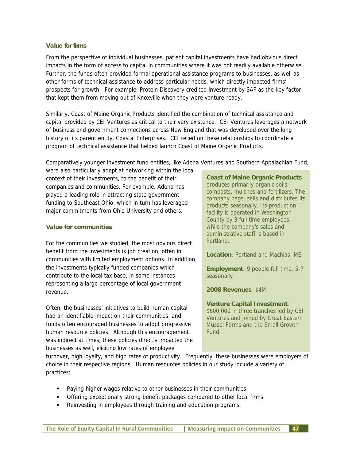#### **Value for firms**

From the perspective of individual businesses, patient capital investments have had obvious direct impacts in the form of access to capital in communities where it was not readily available otherwise. Further, the funds often provided formal operational assistance programs to businesses, as well as other forms of technical assistance to address particular needs, which directly impacted firms' prospects for growth. For example, Protein Discovery credited investment by SAF as the key factor that kept them from moving out of Knoxville when they were venture-ready.

Similarly, Coast of Maine Organic Products identified the combination of technical assistance and capital provided by CEI Ventures as critical to their very existence. CEI Ventures leverages a network of business and government connections across New England that was developed over the long history of its parent entity, Coastal Enterprises. CEI relied on these relationships to coordinate a program of technical assistance that helped launch Coast of Maine Organic Products.

Comparatively younger investment fund entities, like Adena Ventures and Southern Appalachian Fund,

were also particularly adept at networking within the local context of their investments, to the benefit of their companies and communities. For example, Adena has played a leading role in attracting state government funding to Southeast Ohio, which in turn has leveraged major commitments from Ohio University and others.

## **Value for communities**

For the communities we studied, the most obvious direct benefit from the investments is job creation, often in communities with limited employment options. In addition, the investments typically funded companies which contribute to the local tax base, in some instances representing a large percentage of local government revenue.

Often, the businesses' initiatives to build human capital had an identifiable impact on their communities, and funds often encouraged businesses to adopt progressive human resource policies. Although this encouragement was indirect at times, these policies directly impacted the businesses as well, eliciting low rates of employee

**Coast of Maine Organic Products** produces primarily organic soils, composts, mulches and fertilizers. The company bags, sells and distributes its products seasonally. Its production facility is operated in Washington County by 3 full time employees, while the company's sales and administrative staff is based in Portland.

**Location**: Portland and Machias, ME

**Employment**: 9 people full time, 5-7 seasonally

**2008 Revenues**: \$4M

**Venture Capital Investment**: \$600,000 in three tranches led by CEI Ventures and joined by Great Eastern Mussel Farms and the Small Growth Fund.

turnover, high loyalty, and high rates of productivity. Frequently, these businesses were employers of choice in their respective regions. Human resources policies in our study include a variety of practices:

- Paying higher wages relative to other businesses in their communities
- **•** Offering exceptionally strong benefit packages compared to other local firms
- Reinvesting in employees through training and education programs.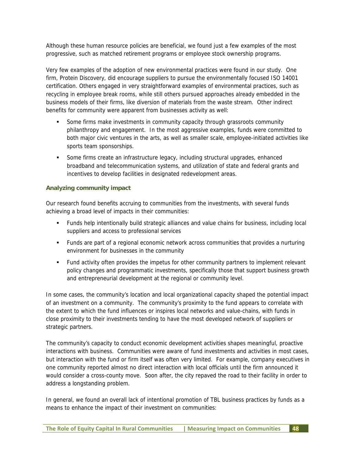Although these human resource policies are beneficial, we found just a few examples of the most progressive, such as matched retirement programs or employee stock ownership programs.

Very few examples of the adoption of new environmental practices were found in our study. One firm, Protein Discovery, did encourage suppliers to pursue the environmentally focused ISO 14001 certification. Others engaged in very straightforward examples of environmental practices, such as recycling in employee break rooms, while still others pursued approaches already embedded in the business models of their firms, like diversion of materials from the waste stream. Other indirect benefits for community were apparent from businesses activity as well:

- Some firms make investments in community capacity through grassroots community philanthropy and engagement. In the most aggressive examples, funds were committed to both major civic ventures in the arts, as well as smaller scale, employee-initiated activities like sports team sponsorships.
- Some firms create an infrastructure legacy, including structural upgrades, enhanced broadband and telecommunication systems, and utilization of state and federal grants and incentives to develop facilities in designated redevelopment areas.

## **Analyzing community impact**

Our research found benefits accruing to communities from the investments, with several funds achieving a broad level of impacts in their communities:

- Funds help intentionally build strategic alliances and value chains for business, including local suppliers and access to professional services
- Funds are part of a regional economic network across communities that provides a nurturing environment for businesses in the community
- Fund activity often provides the impetus for other community partners to implement relevant policy changes and programmatic investments, specifically those that support business growth and entrepreneurial development at the regional or community level.

In some cases, the community's location and local organizational capacity shaped the potential impact of an investment on a community. The community's proximity to the fund appears to correlate with the extent to which the fund influences or inspires local networks and value-chains, with funds in close proximity to their investments tending to have the most developed network of suppliers or strategic partners.

The community's capacity to conduct economic development activities shapes meaningful, proactive interactions with business. Communities were aware of fund investments and activities in most cases, but interaction with the fund or firm itself was often very limited. For example, company executives in one community reported almost no direct interaction with local officials until the firm announced it would consider a cross-county move. Soon after, the city repaved the road to their facility in order to address a longstanding problem.

In general, we found an overall lack of intentional promotion of TBL business practices by funds as a means to enhance the impact of their investment on communities: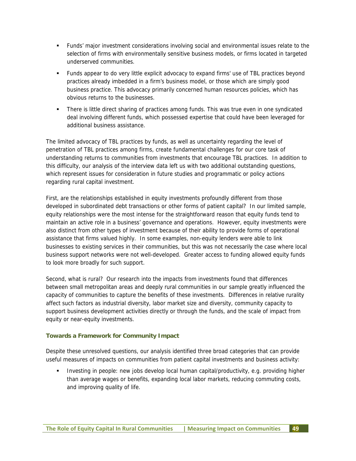- Funds' major investment considerations involving social and environmental issues relate to the selection of firms with environmentally sensitive business models, or firms located in targeted underserved communities.
- Funds appear to do very little explicit advocacy to expand firms' use of TBL practices beyond practices already imbedded in a firm's business model, or those which are simply good business practice. This advocacy primarily concerned human resources policies, which has obvious returns to the businesses.
- There is little direct sharing of practices among funds. This was true even in one syndicated deal involving different funds, which possessed expertise that could have been leveraged for additional business assistance.

The limited advocacy of TBL practices by funds, as well as uncertainty regarding the level of penetration of TBL practices among firms, create fundamental challenges for our core task of understanding returns to communities from investments that encourage TBL practices. In addition to this difficulty, our analysis of the interview data left us with two additional outstanding questions, which represent issues for consideration in future studies and programmatic or policy actions regarding rural capital investment.

First, are the relationships established in equity investments profoundly different from those developed in subordinated debt transactions or other forms of patient capital? In our limited sample, equity relationships were the most intense for the straightforward reason that equity funds tend to maintain an active role in a business' governance and operations. However, equity investments were also distinct from other types of investment because of their ability to provide forms of operational assistance that firms valued highly. In some examples, non-equity lenders were able to link businesses to existing services in their communities, but this was not necessarily the case where local business support networks were not well-developed. Greater access to funding allowed equity funds to look more broadly for such support.

Second, what is rural? Our research into the impacts from investments found that differences between small metropolitan areas and deeply rural communities in our sample greatly influenced the capacity of communities to capture the benefits of these investments. Differences in relative rurality affect such factors as industrial diversity, labor market size and diversity, community capacity to support business development activities directly or through the funds, and the scale of impact from equity or near-equity investments.

# **Towards a Framework for Community Impact**

Despite these unresolved questions, our analysis identified three broad categories that can provide useful measures of impacts on communities from patient capital investments and business activity:

 Investing in people: new jobs develop local human capital/productivity, e.g. providing higher than average wages or benefits, expanding local labor markets, reducing commuting costs, and improving quality of life.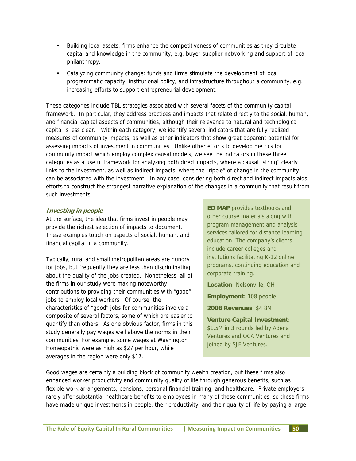- Building local assets: firms enhance the competitiveness of communities as they circulate capital and knowledge in the community, e.g. buyer-supplier networking and support of local philanthropy.
- Catalyzing community change: funds and firms stimulate the development of local programmatic capacity, institutional policy, and infrastructure throughout a community, e.g. increasing efforts to support entrepreneurial development.

These categories include TBL strategies associated with several facets of the community capital framework. In particular, they address practices and impacts that relate directly to the social, human, and financial capital aspects of communities, although their relevance to natural and technological capital is less clear. Within each category, we identify several indicators that are fully realized measures of community impacts, as well as other indicators that show great apparent potential for assessing impacts of investment in communities. Unlike other efforts to develop metrics for community impact which employ complex causal models, we see the indicators in these three categories as a useful framework for analyzing both direct impacts, where a causal "string" clearly links to the investment, as well as indirect impacts, where the "ripple" of change in the community can be associated with the investment. In any case, considering both direct and indirect impacts aids efforts to construct the strongest narrative explanation of the changes in a community that result from such investments.

#### **Investing in people**

At the surface, the idea that firms invest in people may provide the richest selection of impacts to document. These examples touch on aspects of social, human, and financial capital in a community.

Typically, rural and small metropolitan areas are hungry for jobs, but frequently they are less than discriminating about the quality of the jobs created. Nonetheless, all of the firms in our study were making noteworthy contributions to providing their communities with "good" jobs to employ local workers. Of course, the characteristics of "good" jobs for communities involve a composite of several factors, some of which are easier to quantify than others. As one obvious factor, firms in this study generally pay wages well above the norms in their communities. For example, some wages at Washington Homeopathic were as high as \$27 per hour, while averages in the region were only \$17.

**ED MAP** provides textbooks and other course materials along with program management and analysis services tailored for distance learning education. The company's clients include career colleges and institutions facilitating K-12 online programs, continuing education and corporate training.

**Location**: Nelsonville, OH

**Employment**: 108 people

**2008 Revenues**: \$4.8M

**Venture Capital Investment**: \$1.5M in 3 rounds led by Adena Ventures and OCA Ventures and joined by SJF Ventures.

Good wages are certainly a building block of community wealth creation, but these firms also enhanced worker productivity and community quality of life through generous benefits, such as flexible work arrangements, pensions, personal financial training, and healthcare. Private employers rarely offer substantial healthcare benefits to employees in many of these communities, so these firms have made unique investments in people, their productivity, and their quality of life by paying a large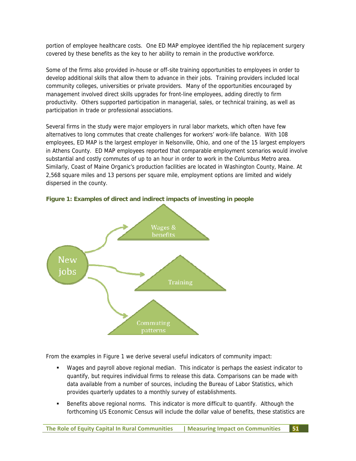portion of employee healthcare costs. One ED MAP employee identified the hip replacement surgery covered by these benefits as the key to her ability to remain in the productive workforce.

Some of the firms also provided in-house or off-site training opportunities to employees in order to develop additional skills that allow them to advance in their jobs. Training providers included local community colleges, universities or private providers. Many of the opportunities encouraged by management involved direct skills upgrades for front-line employees, adding directly to firm productivity. Others supported participation in managerial, sales, or technical training, as well as participation in trade or professional associations.

Several firms in the study were major employers in rural labor markets, which often have few alternatives to long commutes that create challenges for workers' work-life balance. With 108 employees, ED MAP is the largest employer in Nelsonville, Ohio, and one of the 15 largest employers in Athens County. ED MAP employees reported that comparable employment scenarios would involve substantial and costly commutes of up to an hour in order to work in the Columbus Metro area. Similarly, Coast of Maine Organic's production facilities are located in Washington County, Maine. At 2,568 square miles and 13 persons per square mile, employment options are limited and widely dispersed in the county.



**Figure 1: Examples of direct and indirect impacts of investing in people** 

From the examples in Figure 1 we derive several useful indicators of community impact:

- Wages and payroll above regional median. This indicator is perhaps the easiest indicator to quantify, but requires individual firms to release this data. Comparisons can be made with data available from a number of sources, including the Bureau of Labor Statistics, which provides quarterly updates to a monthly survey of establishments.
- Benefits above regional norms. This indicator is more difficult to quantify. Although the forthcoming US Economic Census will include the dollar value of benefits, these statistics are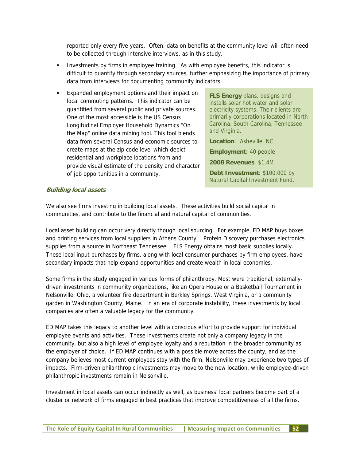reported only every five years. Often, data on benefits at the community level will often need to be collected through intensive interviews, as in this study.

- Investments by firms in employee training. As with employee benefits, this indicator is difficult to quantify through secondary sources, further emphasizing the importance of primary data from interviews for documenting community indicators.
- Expanded employment options and their impact on local commuting patterns. This indicator can be quantified from several public and private sources. One of the most accessible is the US Census Longitudinal Employer Household Dynamics "On the Map" online data mining tool. This tool blends data from several Census and economic sources to create maps at the zip code level which depict residential and workplace locations from and provide visual estimate of the density and character of job opportunities in a community.

**FLS Energy** plans, designs and installs solar hot water and solar electricity systems. Their clients are primarily corporations located in North Carolina, South Carolina, Tennessee and Virginia.

**Location**: Asheville, NC **Employment**: 40 people **2008 Revenues**: \$1.4M **Debt Investment**: \$100,000 by Natural Capital Investment Fund.

#### **Building local assets**

We also see firms investing in building local assets. These activities build social capital in communities, and contribute to the financial and natural capital of communities.

Local asset building can occur very directly though local sourcing. For example, ED MAP buys boxes and printing services from local suppliers in Athens County. Protein Discovery purchases electronics supplies from a source in Northeast Tennessee. FLS Energy obtains most basic supplies locally. These local input purchases by firms, along with local consumer purchases by firm employees, have secondary impacts that help expand opportunities and create wealth in local economies.

Some firms in the study engaged in various forms of philanthropy. Most were traditional, externallydriven investments in community organizations, like an Opera House or a Basketball Tournament in Nelsonville, Ohio, a volunteer fire department in Berkley Springs, West Virginia, or a community garden in Washington County, Maine. In an era of corporate instability, these investments by local companies are often a valuable legacy for the community.

ED MAP takes this legacy to another level with a conscious effort to provide support for individual employee events and activities. These investments create not only a company legacy in the community, but also a high level of employee loyalty and a reputation in the broader community as the employer of choice. If ED MAP continues with a possible move across the county, and as the company believes most current employees stay with the firm, Nelsonville may experience two types of impacts. Firm-driven philanthropic investments may move to the new location, while employee-driven philanthropic investments remain in Nelsonville.

Investment in local assets can occur indirectly as well, as business' local partners become part of a cluster or network of firms engaged in best practices that improve competitiveness of all the firms.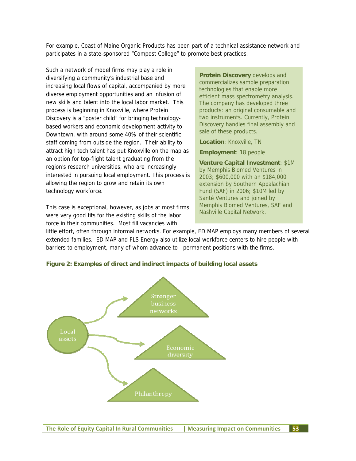For example, Coast of Maine Organic Products has been part of a technical assistance network and participates in a state-sponsored "Compost College" to promote best practices.

Such a network of model firms may play a role in diversifying a community's industrial base and increasing local flows of capital, accompanied by more diverse employment opportunities and an infusion of new skills and talent into the local labor market. This process is beginning in Knoxville, where Protein Discovery is a "poster child" for bringing technologybased workers and economic development activity to Downtown, with around some 40% of their scientific staff coming from outside the region. Their ability to attract high tech talent has put Knoxville on the map as an option for top-flight talent graduating from the region's research universities, who are increasingly interested in pursuing local employment. This process is allowing the region to grow and retain its own technology workforce.

This case is exceptional, however, as jobs at most firms were very good fits for the existing skills of the labor force in their communities. Most fill vacancies with

**Protein Discovery** develops and commercializes sample preparation technologies that enable more efficient mass spectrometry analysis. The company has developed three products: an original consumable and two instruments. Currently, Protein Discovery handles final assembly and sale of these products.

**Location**: Knoxville, TN

**Employment**: 18 people

**Venture Capital Investment**: \$1M by Memphis Biomed Ventures in 2003; \$600,000 with an \$184,000 extension by Southern Appalachian Fund (SAF) in 2006; \$10M led by Santé Ventures and joined by Memphis Biomed Ventures, SAF and Nashville Capital Network.

little effort, often through informal networks. For example, ED MAP employs many members of several extended families. ED MAP and FLS Energy also utilize local workforce centers to hire people with barriers to employment, many of whom advance to permanent positions with the firms.



**Figure 2: Examples of direct and indirect impacts of building local assets**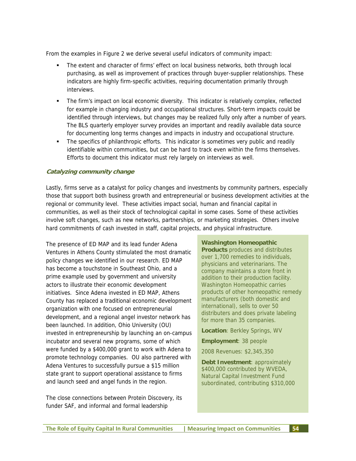From the examples in Figure 2 we derive several useful indicators of community impact:

- The extent and character of firms' effect on local business networks, both through local purchasing, as well as improvement of practices through buyer-supplier relationships. These indicators are highly firm-specific activities, requiring documentation primarily through interviews.
- The firm's impact on local economic diversity. This indicator is relatively complex, reflected for example in changing industry and occupational structures. Short-term impacts could be identified through interviews, but changes may be realized fully only after a number of years. The BLS quarterly employer survey provides an important and readily available data source for documenting long terms changes and impacts in industry and occupational structure.
- The specifics of philanthropic efforts. This indicator is sometimes very public and readily identifiable within communities, but can be hard to track even within the firms themselves. Efforts to document this indicator must rely largely on interviews as well.

#### **Catalyzing community change**

Lastly, firms serve as a catalyst for policy changes and investments by community partners, especially those that support both business growth and entrepreneurial or business development activities at the regional or community level. These activities impact social, human and financial capital in communities, as well as their stock of technological capital in some cases. Some of these activities involve soft changes, such as new networks, partnerships, or marketing strategies. Others involve hard commitments of cash invested in staff, capital projects, and physical infrastructure.

The presence of ED MAP and its lead funder Adena Ventures in Athens County stimulated the most dramatic policy changes we identified in our research. ED MAP has become a touchstone in Southeast Ohio, and a prime example used by government and university actors to illustrate their economic development initiatives. Since Adena invested in ED MAP, Athens County has replaced a traditional economic development organization with one focused on entrepreneurial development, and a regional angel investor network has been launched. In addition, Ohio University (OU) invested in entrepreneurship by launching an on-campus incubator and several new programs, some of which were funded by a \$400,000 grant to work with Adena to promote technology companies. OU also partnered with Adena Ventures to successfully pursue a \$15 million state grant to support operational assistance to firms and launch seed and angel funds in the region.

The close connections between Protein Discovery, its funder SAF, and informal and formal leadership

#### **Washington Homeopathic**

**Products** produces and distributes over 1,700 remedies to individuals, physicians and veterinarians. The company maintains a store front in addition to their production facility. Washington Homeopathic carries products of other homeopathic remedy manufacturers (both domestic and international), sells to over 50 distributers and does private labeling for more than 35 companies.

**Location**: Berkley Springs, WV

**Employment**: 38 people

2008 Revenues: \$2,345,350

**Debt Investment**: approximately \$400,000 contributed by WVEDA, Natural Capital Investment Fund subordinated, contributing \$310,000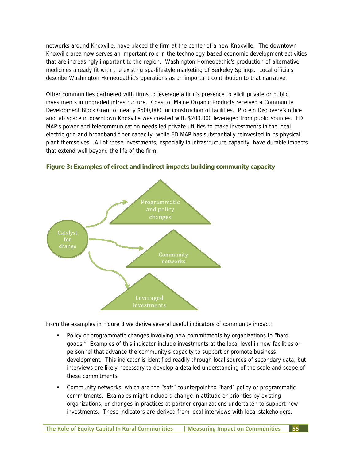networks around Knoxville, have placed the firm at the center of a new Knoxville. The downtown Knoxville area now serves an important role in the technology-based economic development activities that are increasingly important to the region. Washington Homeopathic's production of alternative medicines already fit with the existing spa-lifestyle marketing of Berkeley Springs. Local officials describe Washington Homeopathic's operations as an important contribution to that narrative.

Other communities partnered with firms to leverage a firm's presence to elicit private or public investments in upgraded infrastructure. Coast of Maine Organic Products received a Community Development Block Grant of nearly \$500,000 for construction of facilities. Protein Discovery's office and lab space in downtown Knoxville was created with \$200,000 leveraged from public sources. ED MAP's power and telecommunication needs led private utilities to make investments in the local electric grid and broadband fiber capacity, while ED MAP has substantially reinvested in its physical plant themselves. All of these investments, especially in infrastructure capacity, have durable impacts that extend well beyond the life of the firm.



**Figure 3: Examples of direct and indirect impacts building community capacity** 

From the examples in Figure 3 we derive several useful indicators of community impact:

- Policy or programmatic changes involving new commitments by organizations to "hard goods." Examples of this indicator include investments at the local level in new facilities or personnel that advance the community's capacity to support or promote business development. This indicator is identified readily through local sources of secondary data, but interviews are likely necessary to develop a detailed understanding of the scale and scope of these commitments.
- Community networks, which are the "soft" counterpoint to "hard" policy or programmatic commitments. Examples might include a change in attitude or priorities by existing organizations, or changes in practices at partner organizations undertaken to support new investments. These indicators are derived from local interviews with local stakeholders.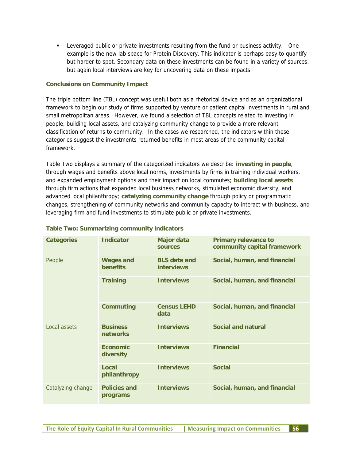Leveraged public or private investments resulting from the fund or business activity. One example is the new lab space for Protein Discovery. This indicator is perhaps easy to quantify but harder to spot. Secondary data on these investments can be found in a variety of sources, but again local interviews are key for uncovering data on these impacts.

## **Conclusions on Community Impact**

The triple bottom line (TBL) concept was useful both as a rhetorical device and as an organizational framework to begin our study of firms supported by venture or patient capital investments in rural and small metropolitan areas. However, we found a selection of TBL concepts related to investing in people, building local assets, and catalyzing community change to provide a more relevant classification of returns to community. In the cases we researched, the indicators within these categories suggest the investments returned benefits in most areas of the community capital framework.

Table Two displays a summary of the categorized indicators we describe: **investing in people**, through wages and benefits above local norms, investments by firms in training individual workers, and expanded employment options and their impact on local commutes; **building local assets** through firm actions that expanded local business networks, stimulated economic diversity, and advanced local philanthropy; **catalyzing community change** through policy or programmatic changes, strengthening of community networks and community capacity to interact with business, and leveraging firm and fund investments to stimulate public or private investments.

| <b>Categories</b> | <b>Indicator</b>                    | <b>Major data</b><br>sources             | <b>Primary relevance to</b><br>community capital framework |
|-------------------|-------------------------------------|------------------------------------------|------------------------------------------------------------|
| People            | <b>Wages and</b><br><b>benefits</b> | <b>BLS</b> data and<br><b>interviews</b> | Social, human, and financial                               |
|                   | <b>Training</b>                     | <b>Interviews</b>                        | Social, human, and financial                               |
|                   | <b>Commuting</b>                    | <b>Census LEHD</b><br>data               | Social, human, and financial                               |
| Local assets      | <b>Business</b><br>networks         | <b>Interviews</b>                        | Social and natural                                         |
|                   | <b>Fconomic</b><br>diversity        | <b>Interviews</b>                        | <b>Financial</b>                                           |
|                   | Local<br>philanthropy               | <b>Interviews</b>                        | <b>Social</b>                                              |
| Catalyzing change | <b>Policies and</b><br>programs     | <b>Interviews</b>                        | Social, human, and financial                               |

# **Table Two: Summarizing community indicators**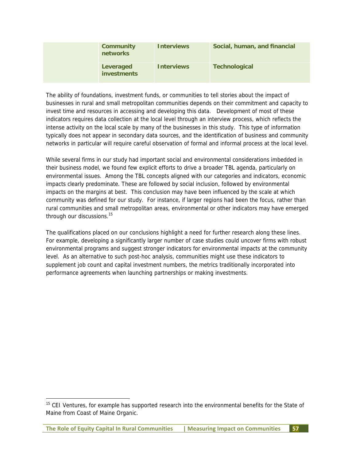| <b>Community</b><br>networks    | <b>Interviews</b> | Social, human, and financial |
|---------------------------------|-------------------|------------------------------|
| Leveraged<br><b>investments</b> | <b>Interviews</b> | <b>Technological</b>         |

The ability of foundations, investment funds, or communities to tell stories about the impact of businesses in rural and small metropolitan communities depends on their commitment and capacity to invest time and resources in accessing and developing this data. Development of most of these indicators requires data collection at the local level through an interview process, which reflects the intense activity on the local scale by many of the businesses in this study. This type of information typically does not appear in secondary data sources, and the identification of business and community networks in particular will require careful observation of formal and informal process at the local level.

While several firms in our study had important social and environmental considerations imbedded in their business model, we found few explicit efforts to drive a broader TBL agenda, particularly on environmental issues. Among the TBL concepts aligned with our categories and indicators, economic impacts clearly predominate. These are followed by social inclusion, followed by environmental impacts on the margins at best. This conclusion may have been influenced by the scale at which community was defined for our study. For instance, if larger regions had been the focus, rather than rural communities and small metropolitan areas, environmental or other indicators may have emerged through our discussions.<sup>15</sup>

The qualifications placed on our conclusions highlight a need for further research along these lines. For example, developing a significantly larger number of case studies could uncover firms with robust environmental programs and suggest stronger indicators for environmental impacts at the community level. As an alternative to such post-hoc analysis, communities might use these indicators to supplement job count and capital investment numbers, the metrics traditionally incorporated into performance agreements when launching partnerships or making investments.

-

<sup>&</sup>lt;sup>15</sup> CEI Ventures, for example has supported research into the environmental benefits for the State of Maine from Coast of Maine Organic.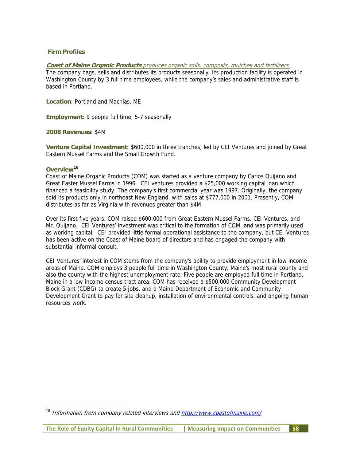#### **Firm Profiles**

#### **Coast of Maine Organic Products** produces organic soils, composts, mulches and fertilizers.

The company bags, sells and distributes its products seasonally. Its production facility is operated in Washington County by 3 full time employees, while the company's sales and administrative staff is based in Portland.

**Location**: Portland and Machias, ME

**Employment**: 9 people full time, 5-7 seasonally

**2008 Revenues**: \$4M

**Venture Capital Investment**: \$600,000 in three tranches, led by CEI Ventures and joined by Great Eastern Mussel Farms and the Small Growth Fund.

#### **Overview16**

-

Coast of Maine Organic Products (COM) was started as a venture company by Carlos Quijano and Great Easter Mussel Farms in 1996. CEI ventures provided a \$25,000 working capital loan which financed a feasibility study. The company's first commercial year was 1997. Originally, the company sold its products only in northeast New England, with sales at \$777,000 in 2001. Presently, COM distributes as far as Virginia with revenues greater than \$4M.

Over its first five years, COM raised \$600,000 from Great Eastern Mussel Farms, CEI Ventures, and Mr. Quijano. CEI Ventures' investment was critical to the formation of COM, and was primarily used as working capital. CEI provided little formal operational assistance to the company, but CEI Ventures has been active on the Coast of Maine board of directors and has engaged the company with substantial informal consult.

CEI Ventures' interest in COM stems from the company's ability to provide employment in low income areas of Maine. COM employs 3 people full time in Washington County, Maine's most rural county and also the county with the highest unemployment rate. Five people are employed full time in Portland, Maine in a low income census tract area. COM has received a \$500,000 Community Development Block Grant (CDBG) to create 5 jobs, and a Maine Department of Economic and Community Development Grant to pay for site cleanup, installation of environmental controls, and ongoing human resources work.

<sup>&</sup>lt;sup>16</sup> Information from company related interviews and http://www.coastofmaine.com/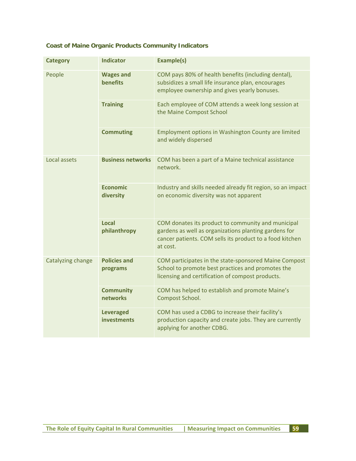# **Coast of Maine Organic Products Community Indicators**

| <b>Category</b>   | <b>Indicator</b>                       | Example(s)                                                                                                                                                                          |
|-------------------|----------------------------------------|-------------------------------------------------------------------------------------------------------------------------------------------------------------------------------------|
| People            | <b>Wages and</b><br><b>benefits</b>    | COM pays 80% of health benefits (including dental),<br>subsidizes a small life insurance plan, encourages<br>employee ownership and gives yearly bonuses.                           |
|                   | <b>Training</b>                        | Each employee of COM attends a week long session at<br>the Maine Compost School                                                                                                     |
|                   | <b>Commuting</b>                       | Employment options in Washington County are limited<br>and widely dispersed                                                                                                         |
| Local assets      | <b>Business networks</b>               | COM has been a part of a Maine technical assistance<br>network.                                                                                                                     |
|                   | <b>Economic</b><br>diversity           | Industry and skills needed already fit region, so an impact<br>on economic diversity was not apparent                                                                               |
|                   | <b>Local</b><br>philanthropy           | COM donates its product to community and municipal<br>gardens as well as organizations planting gardens for<br>cancer patients. COM sells its product to a food kitchen<br>at cost. |
| Catalyzing change | <b>Policies and</b><br>programs        | COM participates in the state-sponsored Maine Compost<br>School to promote best practices and promotes the<br>licensing and certification of compost products.                      |
|                   | <b>Community</b><br>networks           | COM has helped to establish and promote Maine's<br>Compost School.                                                                                                                  |
|                   | <b>Leveraged</b><br><b>investments</b> | COM has used a CDBG to increase their facility's<br>production capacity and create jobs. They are currently<br>applying for another CDBG.                                           |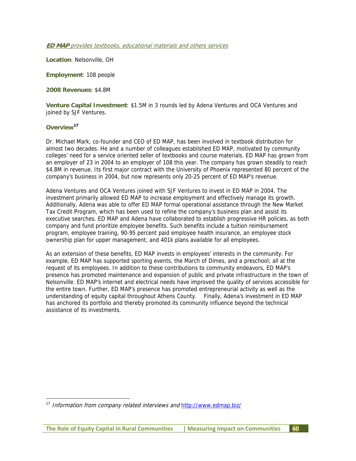#### **ED MAP** provides textbooks, educational materials and others services

**Location**: Nelsonville, OH

**Employment**: 108 people

**2008 Revenues**: \$4.8M

**Venture Capital Investment**: \$1.5M in 3 rounds led by Adena Ventures and OCA Ventures and joined by SJF Ventures.

#### **Overview17**

-

Dr. Michael Mark, co-founder and CEO of ED MAP, has been involved in textbook distribution for almost two decades. He and a number of colleagues established ED MAP, motivated by community colleges' need for a service oriented seller of textbooks and course materials. ED MAP has grown from an employer of 23 in 2004 to an employer of 108 this year. The company has grown steadily to reach \$4.8M in revenue. Its first major contract with the University of Phoenix represented 80 percent of the company's business in 2004, but now represents only 20-25 percent of ED MAP's revenue.

Adena Ventures and OCA Ventures joined with SJF Ventures to invest in ED MAP in 2004. The investment primarily allowed ED MAP to increase employment and effectively manage its growth. Additionally, Adena was able to offer ED MAP formal operational assistance through the New Market Tax Credit Program, which has been used to refine the company's business plan and assist its executive searches. ED MAP and Adena have collaborated to establish progressive HR policies, as both company and fund prioritize employee benefits. Such benefits include a tuition reimbursement program, employee training, 90-95 percent paid employee health insurance, an employee stock ownership plan for upper management, and 401k plans available for all employees.

As an extension of these benefits, ED MAP invests in employees' interests in the community. For example, ED MAP has supported sporting events, the March of Dimes, and a preschool; all at the request of its employees. In addition to these contributions to community endeavors, ED MAP's presence has promoted maintenance and expansion of public and private infrastructure in the town of Nelsonville. ED MAP's internet and electrical needs have improved the quality of services accessible for the entire town. Further, ED MAP's presence has promoted entrepreneurial activity as well as the understanding of equity capital throughout Athens County. Finally, Adena's investment in ED MAP has anchored its portfolio and thereby promoted its community influence beyond the technical assistance of its investments.

<sup>17</sup> Information from company related interviews and http://www.edmap.biz/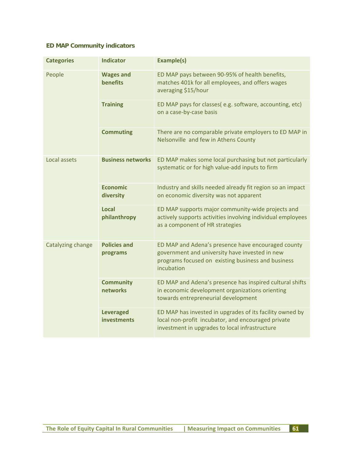# **ED MAP Community indicators**

| <b>Categories</b> | <b>Indicator</b>                       | <b>Example(s)</b>                                                                                                                                                        |
|-------------------|----------------------------------------|--------------------------------------------------------------------------------------------------------------------------------------------------------------------------|
| People            | <b>Wages and</b><br><b>benefits</b>    | ED MAP pays between 90-95% of health benefits,<br>matches 401k for all employees, and offers wages<br>averaging \$15/hour                                                |
|                   | <b>Training</b>                        | ED MAP pays for classes(e.g. software, accounting, etc)<br>on a case-by-case basis                                                                                       |
|                   | <b>Commuting</b>                       | There are no comparable private employers to ED MAP in<br>Nelsonville and few in Athens County                                                                           |
| Local assets      | <b>Business networks</b>               | ED MAP makes some local purchasing but not particularly<br>systematic or for high value-add inputs to firm                                                               |
|                   | <b>Economic</b><br>diversity           | Industry and skills needed already fit region so an impact<br>on economic diversity was not apparent                                                                     |
|                   | Local<br>philanthropy                  | ED MAP supports major community-wide projects and<br>actively supports activities involving individual employees<br>as a component of HR strategies                      |
| Catalyzing change | <b>Policies and</b><br>programs        | ED MAP and Adena's presence have encouraged county<br>government and university have invested in new<br>programs focused on existing business and business<br>incubation |
|                   | <b>Community</b><br>networks           | ED MAP and Adena's presence has inspired cultural shifts<br>in economic development organizations orienting<br>towards entrepreneurial development                       |
|                   | <b>Leveraged</b><br><b>investments</b> | ED MAP has invested in upgrades of its facility owned by<br>local non-profit incubator, and encouraged private<br>investment in upgrades to local infrastructure         |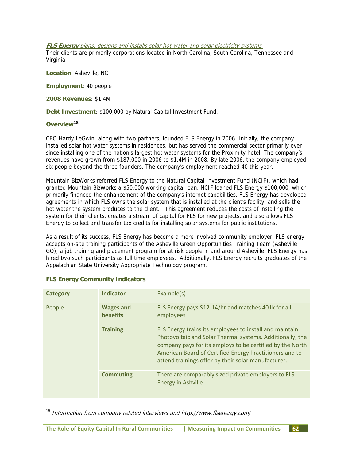#### **FLS Energy** plans, designs and installs solar hot water and solar electricity systems.

Their clients are primarily corporations located in North Carolina, South Carolina, Tennessee and Virginia.

**Location**: Asheville, NC

**Employment**: 40 people

**2008 Revenues**: \$1.4M

**Debt Investment**: \$100,000 by Natural Capital Investment Fund.

# **Overview18**

-

CEO Hardy LeGwin, along with two partners, founded FLS Energy in 2006. Initially, the company installed solar hot water systems in residences, but has served the commercial sector primarily ever since installing one of the nation's largest hot water systems for the Proximity hotel. The company's revenues have grown from \$187,000 in 2006 to \$1.4M in 2008. By late 2006, the company employed six people beyond the three founders. The company's employment reached 40 this year.

Mountain BizWorks referred FLS Energy to the Natural Capital Investment Fund (NCIF), which had granted Mountain BizWorks a \$50,000 working capital loan. NCIF loaned FLS Energy \$100,000, which primarily financed the enhancement of the company's internet capabilities. FLS Energy has developed agreements in which FLS owns the solar system that is installed at the client's facility, and sells the hot water the system produces to the client. This agreement reduces the costs of installing the system for their clients, creates a stream of capital for FLS for new projects, and also allows FLS Energy to collect and transfer tax credits for installing solar systems for public institutions.

As a result of its success, FLS Energy has become a more involved community employer. FLS energy accepts on-site training participants of the Asheville Green Opportunities Training Team (Asheville GO), a job training and placement program for at risk people in and around Asheville. FLS Energy has hired two such participants as full time employees. Additionally, FLS Energy recruits graduates of the Appalachian State University Appropriate Technology program.

| <b>Category</b> | <b>Indicator</b>             | Example(s)                                                                                                                                                                                                                                                                                          |
|-----------------|------------------------------|-----------------------------------------------------------------------------------------------------------------------------------------------------------------------------------------------------------------------------------------------------------------------------------------------------|
| People          | <b>Wages and</b><br>benefits | FLS Energy pays \$12-14/hr and matches 401k for all<br>employees                                                                                                                                                                                                                                    |
|                 | <b>Training</b>              | FLS Energy trains its employees to install and maintain<br>Photovoltaic and Solar Thermal systems. Additionally, the<br>company pays for its employs to be certified by the North<br>American Board of Certified Energy Practitioners and to<br>attend trainings offer by their solar manufacturer. |
|                 | <b>Commuting</b>             | There are comparably sized private employers to FLS<br><b>Energy in Ashville</b>                                                                                                                                                                                                                    |

#### **FLS Energy Community Indicators**

 $18$  Information from company related interviews and http://www.flsenergy.com/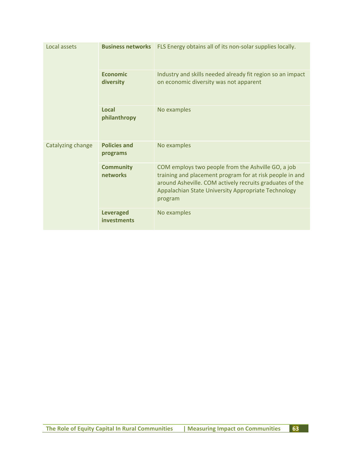| Local assets      | <b>Business networks</b>        | FLS Energy obtains all of its non-solar supplies locally.                                                                                                                                                                                    |
|-------------------|---------------------------------|----------------------------------------------------------------------------------------------------------------------------------------------------------------------------------------------------------------------------------------------|
|                   | <b>Economic</b><br>diversity    | Industry and skills needed already fit region so an impact<br>on economic diversity was not apparent                                                                                                                                         |
|                   | Local<br>philanthropy           | No examples                                                                                                                                                                                                                                  |
| Catalyzing change | <b>Policies and</b><br>programs | No examples                                                                                                                                                                                                                                  |
|                   | <b>Community</b><br>networks    | COM employs two people from the Ashville GO, a job<br>training and placement program for at risk people in and<br>around Asheville. COM actively recruits graduates of the<br>Appalachian State University Appropriate Technology<br>program |
|                   | <b>Leveraged</b><br>investments | No examples                                                                                                                                                                                                                                  |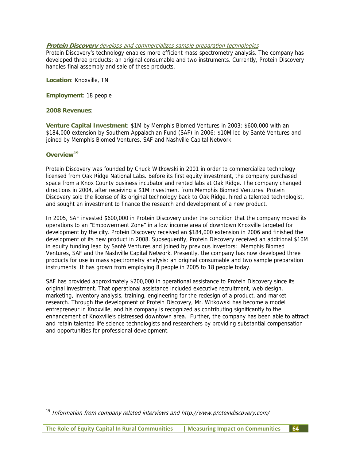#### **Protein Discovery** develops and commercializes sample preparation technologies

Protein Discovery's technology enables more efficient mass spectrometry analysis. The company has developed three products: an original consumable and two instruments. Currently, Protein Discovery handles final assembly and sale of these products.

**Location**: Knoxville, TN

**Employment**: 18 people

#### **2008 Revenues**:

**Venture Capital Investment**: \$1M by Memphis Biomed Ventures in 2003; \$600,000 with an \$184,000 extension by Southern Appalachian Fund (SAF) in 2006; \$10M led by Santé Ventures and joined by Memphis Biomed Ventures, SAF and Nashville Capital Network.

#### **Overview19**

-

Protein Discovery was founded by Chuck Witkowski in 2001 in order to commercialize technology licensed from Oak Ridge National Labs. Before its first equity investment, the company purchased space from a Knox County business incubator and rented labs at Oak Ridge. The company changed directions in 2004, after receiving a \$1M investment from Memphis Biomed Ventures. Protein Discovery sold the license of its original technology back to Oak Ridge, hired a talented technologist, and sought an investment to finance the research and development of a new product.

In 2005, SAF invested \$600,000 in Protein Discovery under the condition that the company moved its operations to an "Empowerment Zone" in a low income area of downtown Knoxville targeted for development by the city. Protein Discovery received an \$184,000 extension in 2006 and finished the development of its new product in 2008. Subsequently, Protein Discovery received an additional \$10M in equity funding lead by Santé Ventures and joined by previous investors: Memphis Biomed Ventures, SAF and the Nashville Capital Network. Presently, the company has now developed three products for use in mass spectrometry analysis: an original consumable and two sample preparation instruments. It has grown from employing 8 people in 2005 to 18 people today.

SAF has provided approximately \$200,000 in operational assistance to Protein Discovery since its original investment. That operational assistance included executive recruitment, web design, marketing, inventory analysis, training, engineering for the redesign of a product, and market research. Through the development of Protein Discovery, Mr. Witkowski has become a model entrepreneur in Knoxville, and his company is recognized as contributing significantly to the enhancement of Knoxville's distressed downtown area. Further, the company has been able to attract and retain talented life science technologists and researchers by providing substantial compensation and opportunities for professional development.

<sup>&</sup>lt;sup>19</sup> Information from company related interviews and http://www.proteindiscovery.com/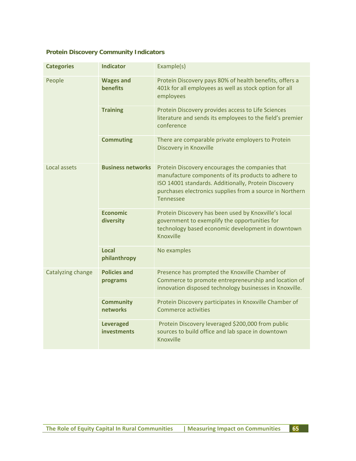# **Protein Discovery Community Indicators**

| <b>Categories</b> | <b>Indicator</b>                       | Example(s)                                                                                                                                                                                                                                     |
|-------------------|----------------------------------------|------------------------------------------------------------------------------------------------------------------------------------------------------------------------------------------------------------------------------------------------|
| People            | <b>Wages and</b><br><b>benefits</b>    | Protein Discovery pays 80% of health benefits, offers a<br>401k for all employees as well as stock option for all<br>employees                                                                                                                 |
|                   | <b>Training</b>                        | Protein Discovery provides access to Life Sciences<br>literature and sends its employees to the field's premier<br>conference                                                                                                                  |
|                   | <b>Commuting</b>                       | There are comparable private employers to Protein<br>Discovery in Knoxville                                                                                                                                                                    |
| Local assets      | <b>Business networks</b>               | Protein Discovery encourages the companies that<br>manufacture components of its products to adhere to<br>ISO 14001 standards. Additionally, Protein Discovery<br>purchases electronics supplies from a source in Northern<br><b>Tennessee</b> |
|                   | <b>Economic</b><br>diversity           | Protein Discovery has been used by Knoxville's local<br>government to exemplify the opportunities for<br>technology based economic development in downtown<br>Knoxville                                                                        |
|                   | <b>Local</b><br>philanthropy           | No examples                                                                                                                                                                                                                                    |
| Catalyzing change | <b>Policies and</b><br>programs        | Presence has prompted the Knoxville Chamber of<br>Commerce to promote entrepreneurship and location of<br>innovation disposed technology businesses in Knoxville.                                                                              |
|                   | <b>Community</b><br>networks           | Protein Discovery participates in Knoxville Chamber of<br>Commerce activities                                                                                                                                                                  |
|                   | <b>Leveraged</b><br><b>investments</b> | Protein Discovery leveraged \$200,000 from public<br>sources to build office and lab space in downtown<br>Knoxville                                                                                                                            |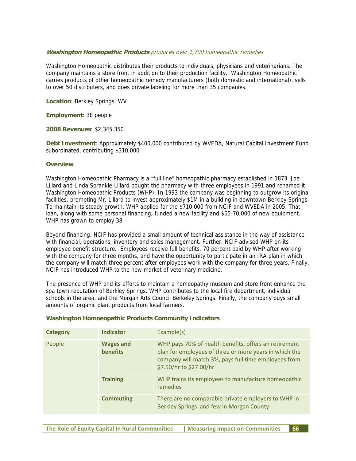#### **Washington Homeopathic Products** produces over 1,700 homeopathic remedies

Washington Homeopathic distributes their products to individuals, physicians and veterinarians. The company maintains a store front in addition to their production facility. Washington Homeopathic carries products of other homeopathic remedy manufacturers (both domestic and international), sells to over 50 distributers, and does private labeling for more than 35 companies.

**Location**: Berkley Springs, WV

**Employment**: 38 people

**2008 Revenues**: \$2,345,350

**Debt Investment**: Approximately \$400,000 contributed by WVEDA, Natural Capital Investment Fund subordinated, contributing \$310,000

#### **Overview**

Washington Homeopathic Pharmacy is a "full line" homeopathic pharmacy established in 1873. Joe Lillard and Linda Sprankle-Lillard bought the pharmacy with three employees in 1991 and renamed it Washington Homeopathic Products (WHP). In 1993 the company was beginning to outgrow its original facilities, prompting Mr. Lillard to invest approximately \$1M in a building in downtown Berkley Springs. To maintain its steady growth, WHP applied for the \$710,000 from NCIF and WVEDA in 2005. That loan, along with some personal financing, funded a new facility and \$65-70,000 of new equipment. WHP has grown to employ 38.

Beyond financing, NCIF has provided a small amount of technical assistance in the way of assistance with financial, operations, inventory and sales management. Further, NCIF advised WHP on its employee benefit structure. Employees receive full benefits, 70 percent paid by WHP after working with the company for three months, and have the opportunity to participate in an IRA plan in which the company will match three percent after employees work with the company for three years. Finally, NCIF has introduced WHP to the new market of veterinary medicine.

The presence of WHP and its efforts to maintain a homeopathy museum and store front enhance the spa town reputation of Berkley Springs. WHP contributes to the local fire department, individual schools in the area, and the Morgan Arts Council Berkeley Springs. Finally, the company buys small amounts of organic plant products from local farmers.

| Category | <b>Indicator</b>                    | Example(s)                                                                                                                                                                                         |
|----------|-------------------------------------|----------------------------------------------------------------------------------------------------------------------------------------------------------------------------------------------------|
| People   | <b>Wages and</b><br><b>benefits</b> | WHP pays 70% of health benefits, offers an retirement<br>plan for employees of three or more years in which the<br>company will match 3%, pays full time employees from<br>\$7.50/hr to \$27.00/hr |
|          | <b>Training</b>                     | WHP trains its employees to manufacture homeopathic<br>remedies                                                                                                                                    |
|          | <b>Commuting</b>                    | There are no comparable private employers to WHP in<br>Berkley Springs and few in Morgan County                                                                                                    |

#### **Washington Homoeopathic Products Community Indicators**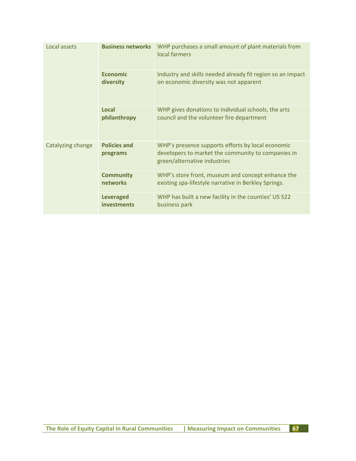| Local assets      | <b>Business networks</b>               | WHP purchases a small amount of plant materials from<br>local farmers                                                                   |
|-------------------|----------------------------------------|-----------------------------------------------------------------------------------------------------------------------------------------|
|                   | <b>Fconomic</b><br>diversity           | Industry and skills needed already fit region so an impact<br>on economic diversity was not apparent                                    |
|                   | Local<br>philanthropy                  | WHP gives donations to individual schools, the arts<br>council and the volunteer fire department                                        |
| Catalyzing change | <b>Policies and</b><br>programs        | WHP's presence supports efforts by local economic<br>developers to market the community to companies in<br>green/alternative industries |
|                   | <b>Community</b><br><b>networks</b>    | WHP's store front, museum and concept enhance the<br>existing spa-lifestyle narrative in Berkley Springs.                               |
|                   | <b>Leveraged</b><br><b>investments</b> | WHP has built a new facility in the counties' US 522<br>business park                                                                   |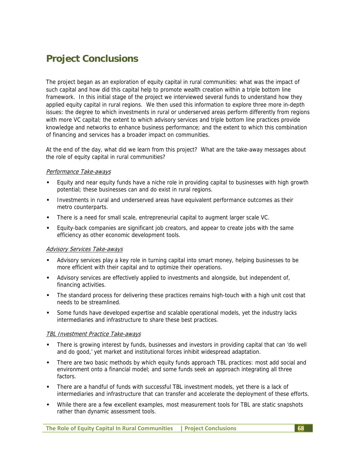# **Project Conclusions**

The project began as an exploration of equity capital in rural communities: what was the impact of such capital and how did this capital help to promote wealth creation within a triple bottom line framework. In this initial stage of the project we interviewed several funds to understand how they applied equity capital in rural regions. We then used this information to explore three more in-depth issues: the degree to which investments in rural or underserved areas perform differently from regions with more VC capital; the extent to which advisory services and triple bottom line practices provide knowledge and networks to enhance business performance; and the extent to which this combination of financing and services has a broader impact on communities.

At the end of the day, what did we learn from this project? What are the take-away messages about the role of equity capital in rural communities?

#### Performance Take-aways

- Equity and near equity funds have a niche role in providing capital to businesses with high growth potential; these businesses can and do exist in rural regions.
- Investments in rural and underserved areas have equivalent performance outcomes as their metro counterparts.
- There is a need for small scale, entrepreneurial capital to augment larger scale VC.
- Equity-back companies are significant job creators, and appear to create jobs with the same efficiency as other economic development tools.

#### Advisory Services Take-aways

- Advisory services play a key role in turning capital into smart money, helping businesses to be more efficient with their capital and to optimize their operations.
- Advisory services are effectively applied to investments and alongside, but independent of, financing activities.
- The standard process for delivering these practices remains high-touch with a high unit cost that needs to be streamlined.
- Some funds have developed expertise and scalable operational models, yet the industry lacks intermediaries and infrastructure to share these best practices.

#### TBL Investment Practice Take-aways

- There is growing interest by funds, businesses and investors in providing capital that can 'do well and do good,' yet market and institutional forces inhibit widespread adaptation.
- There are two basic methods by which equity funds approach TBL practices: most add social and environment onto a financial model; and some funds seek an approach integrating all three factors.
- There are a handful of funds with successful TBL investment models, yet there is a lack of intermediaries and infrastructure that can transfer and accelerate the deployment of these efforts.
- While there are a few excellent examples, most measurement tools for TBL are static snapshots rather than dynamic assessment tools.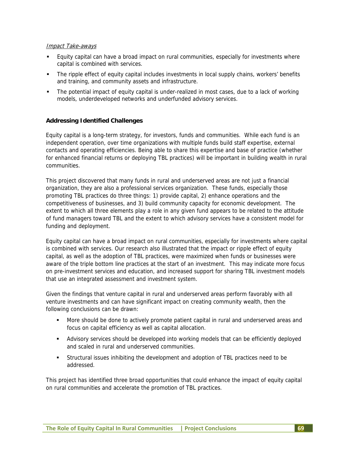#### Impact Take-aways

- Equity capital can have a broad impact on rural communities, especially for investments where capital is combined with services.
- The ripple effect of equity capital includes investments in local supply chains, workers' benefits and training, and community assets and infrastructure.
- The potential impact of equity capital is under-realized in most cases, due to a lack of working models, underdeveloped networks and underfunded advisory services.

#### **Addressing Identified Challenges**

Equity capital is a long-term strategy, for investors, funds and communities. While each fund is an independent operation, over time organizations with multiple funds build staff expertise, external contacts and operating efficiencies. Being able to share this expertise and base of practice (whether for enhanced financial returns or deploying TBL practices) will be important in building wealth in rural communities.

This project discovered that many funds in rural and underserved areas are not just a financial organization, they are also a professional services organization. These funds, especially those promoting TBL practices do three things: 1) provide capital, 2) enhance operations and the competitiveness of businesses, and 3) build community capacity for economic development. The extent to which all three elements play a role in any given fund appears to be related to the attitude of fund managers toward TBL and the extent to which advisory services have a consistent model for funding and deployment.

Equity capital can have a broad impact on rural communities, especially for investments where capital is combined with services. Our research also illustrated that the impact or ripple effect of equity capital, as well as the adoption of TBL practices, were maximized when funds or businesses were aware of the triple bottom line practices at the start of an investment. This may indicate more focus on pre-investment services and education, and increased support for sharing TBL investment models that use an integrated assessment and investment system.

Given the findings that venture capital in rural and underserved areas perform favorably with all venture investments and can have significant impact on creating community wealth, then the following conclusions can be drawn:

- More should be done to actively promote patient capital in rural and underserved areas and focus on capital efficiency as well as capital allocation.
- Advisory services should be developed into working models that can be efficiently deployed and scaled in rural and underserved communities.
- Structural issues inhibiting the development and adoption of TBL practices need to be addressed.

This project has identified three broad opportunities that could enhance the impact of equity capital on rural communities and accelerate the promotion of TBL practices.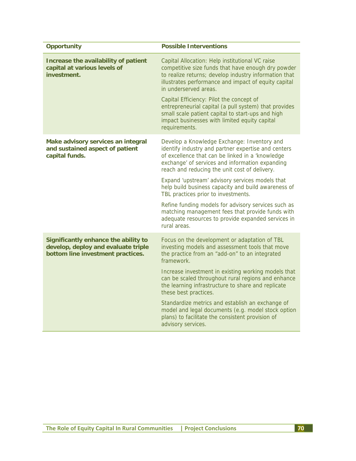| <b>Opportunity</b>                                                                                               | <b>Possible Interventions</b>                                                                                                                                                                                                                                                               |
|------------------------------------------------------------------------------------------------------------------|---------------------------------------------------------------------------------------------------------------------------------------------------------------------------------------------------------------------------------------------------------------------------------------------|
| Increase the availability of patient<br>capital at various levels of<br>investment.                              | Capital Allocation: Help institutional VC raise<br>competitive size funds that have enough dry powder<br>to realize returns; develop industry information that<br>illustrates performance and impact of equity capital<br>in underserved areas.<br>Capital Efficiency: Pilot the concept of |
|                                                                                                                  | entrepreneurial capital (a pull system) that provides<br>small scale patient capital to start-ups and high<br>impact businesses with limited equity capital<br>requirements.                                                                                                                |
| Make advisory services an integral<br>and sustained aspect of patient<br>capital funds.                          | Develop a Knowledge Exchange: Inventory and<br>identify industry and partner expertise and centers<br>of excellence that can be linked in a 'knowledge<br>exchange' of services and information expanding<br>reach and reducing the unit cost of delivery.                                  |
|                                                                                                                  | Expand 'upstream' advisory services models that<br>help build business capacity and build awareness of<br>TBL practices prior to investments.                                                                                                                                               |
|                                                                                                                  | Refine funding models for advisory services such as<br>matching management fees that provide funds with<br>adequate resources to provide expanded services in<br>rural areas.                                                                                                               |
| Significantly enhance the ability to<br>develop, deploy and evaluate triple<br>bottom line investment practices. | Focus on the development or adaptation of TBL<br>investing models and assessment tools that move<br>the practice from an "add-on" to an integrated<br>framework.                                                                                                                            |
|                                                                                                                  | Increase investment in existing working models that<br>can be scaled throughout rural regions and enhance<br>the learning infrastructure to share and replicate<br>these best practices.                                                                                                    |
|                                                                                                                  | Standardize metrics and establish an exchange of<br>model and legal documents (e.g. model stock option<br>plans) to facilitate the consistent provision of<br>advisory services.                                                                                                            |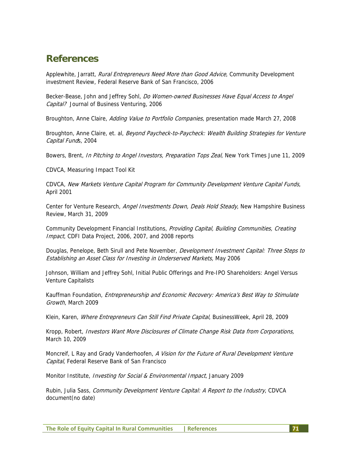## **References**

Applewhite, Jarratt, Rural Entrepreneurs Need More than Good Advice, Community Development investment Review, Federal Reserve Bank of San Francisco, 2006

Becker-Bease, John and Jeffrey Sohl, Do Women-owned Businesses Have Equal Access to Angel Capital? Journal of Business Venturing, 2006

Broughton, Anne Claire, Adding Value to Portfolio Companies, presentation made March 27, 2008

Broughton, Anne Claire, et. al, Beyond Paycheck-to-Paycheck: Wealth Building Strategies for Venture Capital Funds, 2004

Bowers, Brent, In Pitching to Angel Investors, Preparation Tops Zeal, New York Times June 11, 2009

CDVCA, Measuring Impact Tool Kit

CDVCA, New Markets Venture Capital Program for Community Development Venture Capital Funds, April 2001

Center for Venture Research, Angel Investments Down, Deals Hold Steady, New Hampshire Business Review, March 31, 2009

Community Development Financial Institutions, Providing Capital, Building Communities, Creating Impact, CDFI Data Project, 2006, 2007, and 2008 reports

Douglas, Penelope, Beth Sirull and Pete November, Development Investment Capital: Three Steps to Establishing an Asset Class for Investing in Underserved Markets, May 2006

Johnson, William and Jeffrey Sohl, Initial Public Offerings and Pre-IPO Shareholders: Angel Versus Venture Capitalists

Kauffman Foundation, *Entrepreneurship and Economic Recovery: America's Best Way to Stimulate* Growth, March 2009

Klein, Karen, Where Entrepreneurs Can Still Find Private Capital, BusinessWeek, April 28, 2009

Kropp, Robert, Investors Want More Disclosures of Climate Change Risk Data from Corporations, March 10, 2009

Moncreif, L Ray and Grady Vanderhoofen, A Vision for the Future of Rural Development Venture Capital, Federal Reserve Bank of San Francisco

Monitor Institute, *Investing for Social & Environmental Impact*, January 2009

Rubin, Julia Sass, Community Development Venture Capital: A Report to the Industry, CDVCA document(no date)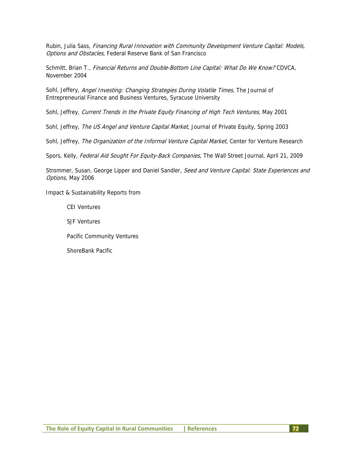Rubin, Julia Sass, Financing Rural Innovation with Community Development Venture Capital: Models, Options and Obstacles, Federal Reserve Bank of San Francisco

Schmitt, Brian T., Financial Returns and Double-Bottom Line Capital: What Do We Know? CDVCA, November 2004

Sohl, Jeffery, Angel Investing: Changing Strategies During Volatile Times, The Journal of Entrepreneurial Finance and Business Ventures, Syracuse University

Sohl, Jeffrey, Current Trends in the Private Equity Financing of High Tech Ventures, May 2001

Sohl, Jeffrey, The US Angel and Venture Capital Market, Journal of Private Equity, Spring 2003

Sohl, Jeffrey, The Organization of the Informal Venture Capital Market, Center for Venture Research

Spors, Kelly, Federal Aid Sought For Equity-Back Companies, The Wall Street Journal, April 21, 2009

Strommer, Susan, George Lipper and Daniel Sandler, Seed and Venture Capital: State Experiences and Options, May 2006

Impact & Sustainability Reports from

CEI Ventures

SJF Ventures

Pacific Community Ventures

ShoreBank Pacific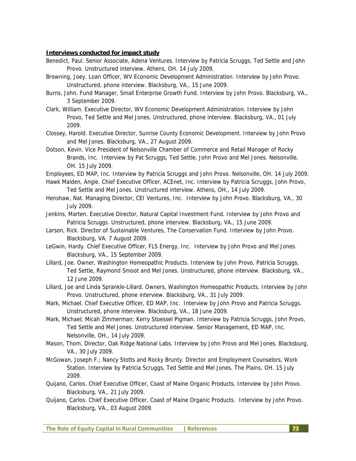## **Interviews conducted for impact study**

- Benedict, Paul. Senior Associate, Adena Ventures. Interview by Patricia Scruggs, Ted Settle and John Provo. Unstructured interview. Athens, OH. 14 July 2009.
- Browning, Joey. Loan Officer, WV Economic Development Administration. Interview by John Provo. Unstructured, phone interview. Blacksburg, VA., 15 June 2009.
- Burns, John. Fund Manager, Small Enterprise Growth Fund. Interview by John Provo. Blacksburg, VA., 3 September 2009.
- Clark, William. Executive Director, WV Economic Development Administration. Interview by John Provo, Ted Settle and Mel Jones. Unstructured, phone interview. Blacksburg, VA., 01 July 2009.
- Clossey, Harold. Executive Director, Sunrise County Economic Development. Interview by John Provo and Mel Jones. Blacksburg, VA., 27 August 2009.
- Dotson, Kevin. Vice President of Nelsonville Chamber of Commerce and Retail Manager of Rocky Brands, Inc. Interview by Pat Scruggs, Ted Settle, John Provo and Mel Jones. Nelsonville, OH. 15 July 2009.
- Employees, ED MAP, Inc. Interview by Patricia Scruggs and John Provo. Nelsonville, OH. 14 July 2009.
- Hawk Maiden, Angie. Chief Executive Officer, ACEnet, Inc. Interview by Patricia Scruggs, John Provo, Ted Settle and Mel Jones. Unstructured interview. Athens, OH., 14 July 2009.
- Henshaw, Nat. Managing Director, CEI Ventures, Inc. Interview by John Provo. Blacksburg, VA., 30 July 2009.
- Jenkins, Marten. Executive Director, Natural Capital Investment Fund. Interview by John Provo and Patricia Scruggs. Unstructured, phone interview. Blacksburg, VA., 15 June 2009.
- Larson, Rick. Director of Sustainable Ventures, The Conservation Fund. Interview by John Provo. Blacksburg, VA. 7 August 2009.
- LeGwin, Hardy. Chief Executive Officer, FLS Energy, Inc. Interview by John Provo and Mel Jones. Blacksburg, VA., 15 September 2009.
- Lillard, Joe. Owner, Washington Homeopathic Products. Interview by John Provo, Patricia Scruggs, Ted Settle, Raymond Smoot and Mel Jones. Unstructured, phone interview. Blacksburg, VA., 12 June 2009.
- Lillard, Joe and Linda Sprankle-Lillard. Owners, Washington Homeopathic Products. Interview by John Provo. Unstructured, phone interview. Blacksburg, VA., 31 July 2009.
- Mark, Michael. Chief Executive Officer, ED MAP, Inc. Interview by John Provo and Patricia Scruggs. Unstructured, phone interview. Blacksburg, VA., 18 June 2009.
- Mark, Michael; Micah Zimmerman; Kerry Stoessel Pigman. Interview by Patricia Scruggs, John Provo, Ted Settle and Mel Jones. Unstructured interview. Senior Management, ED MAP, Inc. Nelsonville, OH., 14 July 2009.
- Mason, Thom. Director, Oak Ridge National Labs. Interview by John Provo and Mel Jones. Blacksburg, VA., 30 July 2009.
- McGowan, Joseph F.; Nancy Stotts and Rocky Brunty. Director and Employment Counselors, Work Station. Interview by Patricia Scruggs, Ted Settle and Mel Jones. The Plains, OH. 15 July 2009.
- Quijano, Carlos. Chief Executive Officer, Coast of Maine Organic Products. Interview by John Provo. Blacksburg, VA., 21 July 2009.
- Quijano, Carlos. Chief Executive Officer, Coast of Maine Organic Products. Interview by John Provo. Blacksburg, VA., 03 August 2009.